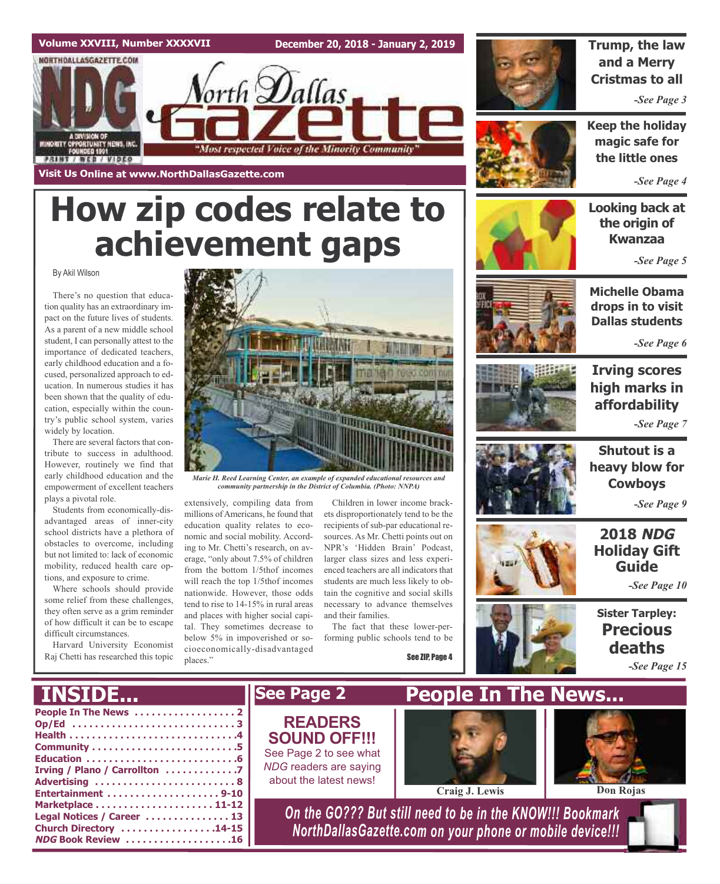

# **How zip codes relate to achievement gaps**

#### By Akil Wilson

There's no question that education quality has an extraordinary impact on the future lives of students. As a parent of a new middle school student, I can personally attest to the importance of dedicated teachers, early childhood education and a focused, personalized approach to education. In numerous studies it has been shown that the quality of education, especially within the country's public school system, varies widely by location.

There are several factors that contribute to success in adulthood. However, routinely we find that early childhood education and the empowerment of excellent teachers plays a pivotal role.

Students from economically-disadvantaged areas of inner-city school districts have a plethora of obstacles to overcome, including but not limited to: lack of economic mobility, reduced health care options, and exposure to crime.

Where schools should provide some relief from these challenges, they often serve as a grim reminder of how difficult it can be to escape difficult circumstances.

Harvard University Economist Raj Chetti has researched this topic



*Marie H. Reed Learning Center, an example of expanded educational resources and community partnership in the District of Columbia. (Photo: NNPA)*

extensively, compiling data from millions of Americans, he found that education quality relates to economic and social mobility. According to Mr. Chetti's research, on average, "only about 7.5% of children from the bottom 1/5thof incomes will reach the top 1/5thof incomes nationwide. However, those odds tend to rise to 14-15% in rural areas and places with higher social capital. They sometimes decrease to below 5% in impoverished or socioeconomically-disadvantaged places."

Children in lower income brackets disproportionately tend to be the recipients of sub-par educational resources. As Mr. Chetti points out on NPR's 'Hidden Brain' Podcast, larger class sizes and less experienced teachers are all indicators that students are much less likely to obtain the cognitive and social skills necessary to advance themselves and their families.

The fact that these lower-performing public schools tend to be

See ZIP, Page 4



**Michelle Obama drops in to visit Dallas students**

**Looking back at the origin of Kwanzaa**

*-See Page 6*

*-See Page 5*

**Irving scores high marks in affordability** *-See Page 7*







*-See Page 15*



**Shutout is a heavy blow for Cowboys**

*-See Page 9*

### **2018 NDG Holiday Gift Guide**

*-See Page 10*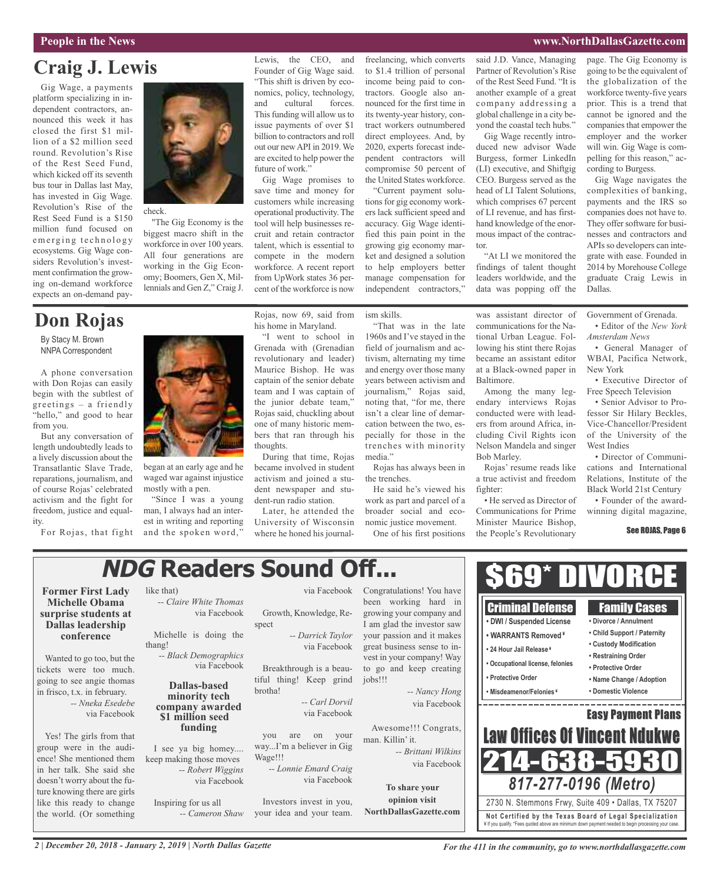### **People in the News www.NorthDallasGazette.com**

## **Craig J. Lewis**

Gig Wage, a payments platform specializing in independent contractors, announced this week it has closed the first \$1 million of a \$2 million seed round. Revolution's Rise of the Rest Seed Fund, which kicked off its seventh bus tour in Dallas last May, has invested in Gig Wage. Revolution's Rise of the Rest Seed Fund is a \$150 million fund focused on emerging technology ecosystems. Gig Wage considers Revolution's investment confirmation the growing on-demand workforce expects an on-demand pay-

By Stacy M. Brown NNPA Correspondent

**Don Rojas**

from you.

ity.



### check.

"The Gig Economy is the biggest macro shift in the workforce in over 100 years. All four generations are working in the Gig Economy; Boomers, Gen X, Millennials and Gen Z," Craig J.

### Lewis, the CEO, and Founder of Gig Wage said. "This shift is driven by economics, policy, technology, and cultural forces. This funding will allow us to issue payments of over \$1 billion to contractors and roll out our newAPI in 2019. We are excited to help power the future of work."

Gig Wage promises to save time and money for customers while increasing operational productivity. The tool will help businesses recruit and retain contractor talent, which is essential to compete in the modern workforce. A recent report from UpWork states 36 percent of the workforce is now

"I went to school in

During that time, Rojas became involved in student activism and joined a student newspaper and student-run radio station. Later, he attended the University of Wisconsin where he honed his journalfreelancing, which converts to \$1.4 trillion of personal income being paid to contractors. Google also announced for the first time in its twenty-year history, contract workers outnumbered direct employees. And, by 2020, experts forecast independent contractors will compromise 50 percent of the United States workforce.

"Current payment solutions for gig economy workers lack sufficient speed and accuracy. Gig Wage identified this pain point in the growing gig economy market and designed a solution to help employers better manage compensation for independent contractors,"

Rojas, now 69, said from ism skills.

> "That was in the late 1960s and I've stayed in the field of journalism and activism, alternating my time and energy over those many years between activism and journalism," Rojas said, noting that, "for me, there isn't a clear line of demarcation between the two, especially for those in the trenches with minority media."

Rojas has always been in the trenches.

He said he's viewed his work as part and parcel of a broader social and economic justice movement.

One of his first positions

said J.D. Vance, Managing Partner of Revolution's Rise of the Rest Seed Fund. "It is another example of a great company addressing a global challenge in a city beyond the coastal tech hubs."

Gig Wage recently introduced new advisor Wade Burgess, former LinkedIn (LI) executive, and Shiftgig CEO. Burgess served as the head of LI Talent Solutions, which comprises 67 percent of LI revenue, and has firsthand knowledge of the enormous impact of the contractor.

"At LI we monitored the findings of talent thought leaders worldwide, and the data was popping off the

page. The Gig Economy is going to be the equivalent of the globalization of the workforce twenty-five years prior. This is a trend that cannot be ignored and the companies that empower the employer and the worker will win. Gig Wage is compelling for this reason," according to Burgess.

Gig Wage navigates the complexities of banking, payments and the IRS so companies does not have to. They offer software for businesses and contractors and APIsso developers can integrate with ease. Founded in 2014 by Morehouse College graduate Craig Lewis in Dallas.

Government of Grenada.

• Editor of the *New York Amsterdam News*

• General Manager of WBAI, Pacifica Network, New York

• Executive Director of Free Speech Television

• Senior Advisor to Professor Sir Hilary Beckles, Vice-Chancellor/President of the University of the West Indies

• Director of Communications and International Relations, Institute of the Black World 21st Century

• Founder of the awardwinning digital magazine,

Family Cases **• Divorce / Annulment • Child Support / Paternity • Custody Modification • Restraining Order • Protective Order • Name Change / Adoption • Domestic Violence**

Easy Payment Plans

<u>an an an an an an an an an an </u>

See ROJAS, Page 6

## **NDG Readers Sound Off...**

### **Former First Lady Michelle Obama surprise students at Dallas leadership conference**

Transatlantic Slave Trade, reparations, journalism, and of course Rojas' celebrated activism and the fight for freedom, justice and equal-

For Rojas, that fight

Wanted to go too, but the tickets were too much. going to see angie thomas in frisco, t.x. in february. *-- Nneka Esedebe* via Facebook

Yes! The girls from that group were in the audience! She mentioned them in her talk. She said she doesn't worry about the future knowing there are girls like this ready to change the world. (Or something



began at an early age and he waged war against injustice mostly with a pen.

"Since I was a young man, I always had an interest in writing and reporting and the spoken word,"



like that) *-- Claire White Thomas* via Facebook

Michelle is doing the thang!

via Facebook

#### **Dallas-based minority tech company awarded \$1 million seed funding**

I see ya big homey.... keep making those moves *-- Robert Wiggins* via Facebook

Inspiring for us all

via Facebook

*-- Black Demographics*

*-- Cameron Shaw*

Growth, Knowledge, Respect *-- Darrick Taylor* via Facebook

Breakthrough is a beautiful thing! Keep grind brotha!

> *-- Carl Dorvil* via Facebook

you are on your way...I'm a believer in Gig Wage!!!

*-- Lonnie Emard Craig* via Facebook

Investors invest in you, your idea and your team.

Congratulations! You have been working hard in growing your company and I am glad the investor saw your passion and it makes great business sense to invest in your company! Way to go and keep creating jobs!!!

> *-- Nancy Hong* via Facebook

Awesome!!! Congrats, man. Killin' it.

> *-- Brittani Wilkins* via Facebook

**To share your opinion visit NorthDallasGazette.com** 14-638-5

**Law Offices Of Vincent Ndul** 

**Not Ce rtified by the Te x a s Boa rd of Lega l Spe c ia l i za tion** ¥ If you qualify. \*Fees quoted above are minimum down payment needed to begin processing your case.

2730 N. Stemmons Frwy, Suite 409 • Dallas, TX 75207

*817-277-0196 (Metro)*

\$69\* DIVORCE

### was assistant director of communications for the National Urban League. Following his stint there Rojas became an assistant editor at a Black-owned paper in Baltimore.

Among the many legendary interviews Rojas conducted were with leaders from around Africa, including Civil Rights icon Nelson Mandela and singer Bob Marley.

Rojas' resume reads like a true activist and freedom fighter<sup>.</sup>

• He served as Director of Communications for Prime Minister Maurice Bishop, the People's Revolutionary

> Criminal Defense **• DWI / Suspended License • WARRANTS Removed ¥ • 24 Hour Jail Release ¥**

> **• Occupational license, felonies**

**• Protective Order • Misdeamenor/Felonies ¥**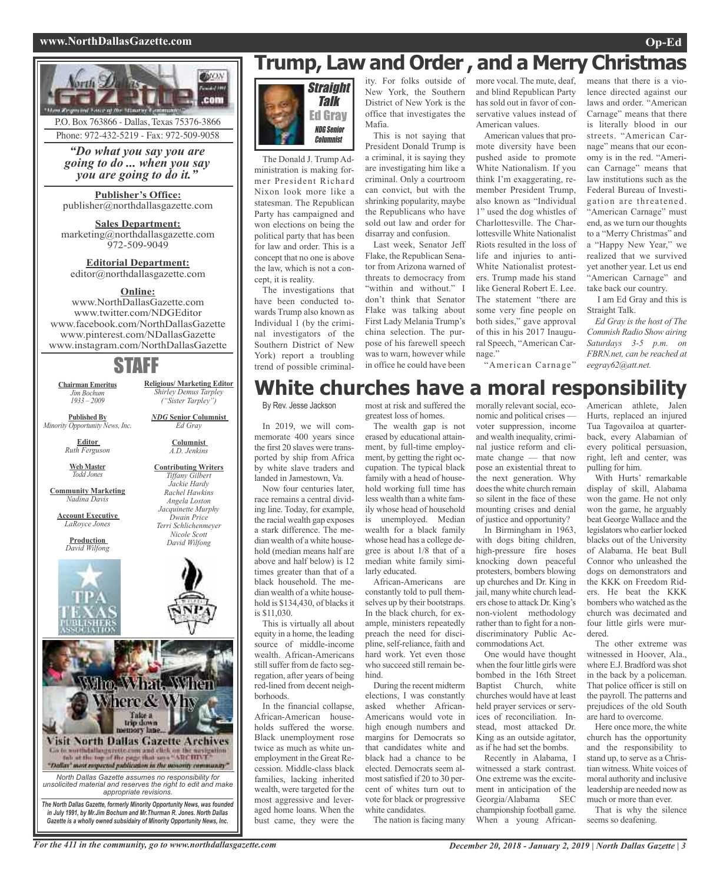### **www.NorthDallasGazette.com Op-Ed**



Phone: 972-432-5219 - Fax: 972-509-9058

*"Do what you say you are going to do ... when you say you are going to do it."*

**Publisher's Office:** publisher@northdallasgazette.com

**Sales Department:** marketing@northdallasgazette.com 972-509-9049

**Editorial Department:** editor@northdallasgazette.com

### **Online:**

www.NorthDallasGazette.com www.twitter.com/NDGEditor www.facebook.com/NorthDallasGazette www.pinterest.com/NDallasGazette www.instagram.com/NorthDallasGazette

### STAFF

**Chairman Emeritus** *Jim Bochum 1933 – 2009*

**Published By** *Minority Opportunity News, Inc.*

> **Editor** *Ruth Ferguson*

**Web Master** *Todd Jones*

**Community Marketing** *Nadina Davis*

**Account Executive** *LaRoyce Jones*

> **Production** *David Wilfong*





**Religious/ Marketing Editor** *Shirley Demus Tarpley ("Sister Tarpley") NDG* **Senior Columnist** *Ed Gray* **Columnist** *A.D. Jenkins* **Contributing Writers** *Tiffany Gilbert Jackie Hardy*



*appropriate revisions. The North Dallas Gazette, formerly Minority Opportunity News, was founded in July 1991, by Mr.Jim Bochum and Mr.Thurman R. Jones. North Dallas*

*Gazette is a wholly owned subsidairy of Minority Opportunity News, Inc.*

## **Trump, Law and Order , and a Merry Christmas**



The Donald J. Trump Administration is making former President Richard Nixon look more like a statesman. The Republican Party has campaigned and won elections on being the political party that has been for law and order. This is a concept that no one is above the law, which is not a concept, it is reality.

The investigations that have been conducted towards Trump also known as Individual 1 (by the criminal investigators of the Southern District of New York) report a troubling trend of possible criminalNew York, the Southern District of New York is the office that investigates the Mafia.

This is not saying that President Donald Trump is a criminal, it is saying they are investigating him like a criminal. Only a courtroom can convict, but with the shrinking popularity, maybe the Republicans who have sold out law and order for disarray and confusion.

Last week, Senator Jeff Flake, the Republican Senator from Arizona warned of threats to democracy from "within and without." I don't think that Senator Flake was talking about First Lady Melania Trump's china selection. The purpose of his farewell speech was to warn, however while in office he could have been

ity. For folks outside of more vocal. The mute, deaf, and blind Republican Party has sold out in favor of conservative values instead of American values.

> American values that promote diversity have been pushed aside to promote White Nationalism. If you think I'm exaggerating, remember President Trump, also known as "Individual 1" used the dog whistles of Charlottesville. The Charlottesville White Nationalist Riots resulted in the loss of life and injuries to anti-White Nationalist protesters. Trump made his stand like General Robert E. Lee. The statement "there are some very fine people on both sides," gave approval of this in his 2017 Inaugural Speech, "American Carnage."

means that there is a violence directed against our laws and order. "American Carnage" means that there is literally blood in our streets. "American Carnage" means that our economy is in the red. "American Carnage" means that law institutions such as the Federal Bureau of Investigation are threatened. "American Carnage" must end, as we turn our thoughts to a "Merry Christmas" and a "Happy New Year," we realized that we survived yet another year. Let us end "American Carnage" and take back our country.

I am Ed Gray and this is Straight Talk.

*Ed Gray is the host of The Commish Radio Show airing Saturdays 3-5 p.m. on FBRN.net, can be reached at eegray62@att.net.*

## **White churches have a moral responsibility**

By Rev. Jesse Jackson

In 2019, we will commemorate 400 years since the first 20 slaves were transported by ship from Africa by white slave traders and landed in Jamestown, Va.

Now four centuries later, race remains a central dividing line. Today, for example, the racial wealth gap exposes a stark difference. The median wealth of a white household (median means half are above and half below) is 12 times greater than that of a black household. The median wealth of a white household is \$134,430, of blacks it is \$11,030.

This is virtually all about equity in a home, the leading source of middle-income wealth. African-Americans still suffer from de facto segregation, after years of being red-lined from decent neighborhoods.

In the financial collapse, African-American households suffered the worse. Black unemployment rose twice as much as white unemployment in the Great Recession. Middle-class black families, lacking inherited wealth, were targeted for the most aggressive and leveraged home loans. When the bust came, they were the

most at risk and suffered the greatest loss of homes.

The wealth gap is not erased by educational attainment, by full-time employment, by getting the right occupation. The typical black family with a head of household working full time has less wealth than a white family whose head of household is unemployed. Median wealth for a black family whose head has a college degree is about 1/8 that of a median white family similarly educated.

African-Americans are constantly told to pull themselves up by their bootstraps. In the black church, for example, ministers repeatedly preach the need for discipline, self-reliance, faith and hard work. Yet even those who succeed still remain behind.

During the recent midterm elections, I was constantly asked whether African-Americans would vote in high enough numbers and margins for Democrats so that candidates white and black had a chance to be elected. Democrats seem almostsatisfied if 20 to 30 percent of whites turn out to vote for black or progressive white candidates.

The nation is facing many

morally relevant social, economic and political crises voter suppression, income and wealth inequality, criminal justice reform and climate change — that now pose an existential threat to the next generation. Why does the white church remain so silent in the face of these mounting crises and denial of justice and opportunity?

"American Carnage"

In Birmingham in 1963, with dogs biting children, high-pressure fire hoses knocking down peaceful protesters, bombers blowing up churches and Dr. King in jail, many white church leaders chose to attack Dr. King's non-violent methodology rather than to fight for a nondiscriminatory Public Accommodations Act.

One would have thought when the four little girls were bombed in the 16th Street Baptist Church, white churches would have at least held prayer services or services of reconciliation. Instead, most attacked Dr. King as an outside agitator, as if he had set the bombs.

Recently in Alabama, I witnessed a stark contrast. One extreme was the excitement in anticipation of the Georgia/Alabama SEC championship football game. When a young African-

American athlete, Jalen Hurts, replaced an injured Tua Tagovailoa at quarterback, every Alabamian of every political persuasion, right, left and center, was pulling for him.

With Hurts' remarkable display of skill, Alabama won the game. He not only won the game, he arguably beat George Wallace and the legislators who earlier locked blacks out of the University of Alabama. He beat Bull Connor who unleashed the dogs on demonstrators and the KKK on Freedom Riders. He beat the KKK bombers who watched as the church was decimated and four little girls were murdered.

The other extreme was witnessed in Hoover, Ala., where E.J. Bradford was shot. in the back by a policeman. That police officer is still on the payroll. The patterns and prejudices of the old South are hard to overcome.

Here once more, the white church has the opportunity and the responsibility to stand up, to serve as a Christian witness. White voices of moral authority and inclusive leadership are needed now as much or more than ever.

That is why the silence seems so deafening.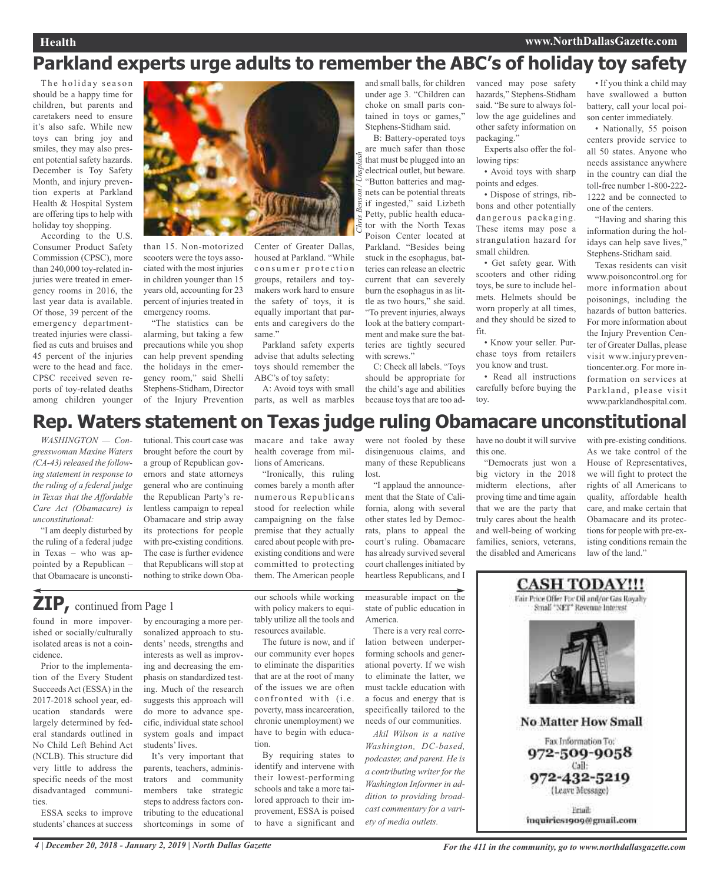## **Parkland experts urge adults to remember the ABC's of holiday toy safety**

The holiday season should be a happy time for children, but parents and caretakers need to ensure it's also safe. While new toys can bring joy and smiles, they may also present potential safety hazards. December is Toy Safety Month, and injury prevention experts at Parkland Health & Hospital System are offering tips to help with holiday toy shopping.

According to the U.S. Consumer Product Safety Commission (CPSC), more than 240,000 toy-related injuries were treated in emergency rooms in 2016, the last year data is available. Of those, 39 percent of the emergency departmenttreated injuries were classified as cuts and bruises and 45 percent of the injuries were to the head and face. CPSC received seven reports of toy-related deaths among children younger



than 15. Non-motorized scooters were the toys associated with the most injuries in children younger than 15 years old, accounting for 23 percent of injuries treated in emergency rooms.

"The statistics can be alarming, but taking a few precautions while you shop can help prevent spending the holidays in the emergency room," said Shelli Stephens-Stidham, Director of the Injury Prevention Center of Greater Dallas, housed at Parkland. "While consumer protection groups, retailers and toymakers work hard to ensure the safety of toys, it is equally important that parents and caregivers do the same."

Parkland safety experts advise that adults selecting toys should remember the ABC's of toy safety:

A: Avoid toys with small parts, as well as marbles and small balls, for children under age 3. "Children can choke on small parts contained in toys or games," Stephens-Stidham said.

B: Battery-operated toys are much safer than those that must be plugged into an electrical outlet, but beware. "Button batteries and magnets can be potential threats if ingested," said Lizbeth Petty, public health educator with the North Texas Poison Center located at Parkland. "Besides being stuck in the esophagus, batteries can release an electric current that can severely burn the esophagus in as little as two hours," she said. "To prevent injuries, always look at the battery compartment and make sure the batteries are tightly secured with screws." *Chris Benson / Unsplash*

C: Check all labels. "Toys should be appropriate for the child's age and abilities because toys that are too ad-

vanced may pose safety hazards," Stephens-Stidham said. "Be sure to always follow the age guidelines and other safety information on packaging."

Experts also offer the following tips:

• Avoid toys with sharp points and edges.

• Dispose of strings, ribbons and other potentially dangerous packaging. These items may pose a strangulation hazard for small children.

• Get safety gear. With scooters and other riding toys, be sure to include helmets. Helmets should be worn properly at all times, and they should be sized to fit.

• Know your seller. Purchase toys from retailers you know and trust.

• Read all instructions carefully before buying the toy.

• If you think a child may have swallowed a button battery, call your local poison center immediately.

• Nationally, 55 poison centers provide service to all 50 states. Anyone who needs assistance anywhere in the country can dial the toll-free number 1-800-222- 1222 and be connected to one of the centers.

"Having and sharing this information during the holidays can help save lives," Stephens-Stidham said.

Texas residents can visit www.poisoncontrol.org for more information about poisonings, including the hazards of button batteries. For more information about the Injury Prevention Center of Greater Dallas, please visit www.injurypreventioncenter.org. For more information on services at Parkland, please visit www.parklandhospital.com.

### **Rep. Waters statement on Texas judge ruling Obamacare unconstitutional**

*WASHINGTON — Congresswoman Maxine Waters (CA-43) released the following statement in response to the ruling of a federal judge in Texas that the Affordable Care Act (Obamacare) is unconstitutional:*

"I am deeply disturbed by the ruling of a federal judge in Texas – who was appointed by a Republican – that Obamacare is unconsti-

tutional. This court case was brought before the court by a group of Republican governors and state attorneys general who are continuing the Republican Party's relentless campaign to repeal Obamacare and strip away its protections for people with pre-existing conditions. The case is further evidence that Republicans will stop at nothing to strike down Obamacare and take away health coverage from millions of Americans.

"Ironically, this ruling comes barely a month after numerous Republicans stood for reelection while campaigning on the false premise that they actually cared about people with preexisting conditions and were committed to protecting them. The American people

were not fooled by these disingenuous claims, and many of these Republicans lost.

"I applaud the announcement that the State of California, along with several other states led by Democrats, plans to appeal the court's ruling. Obamacare has already survived several court challenges initiated by heartless Republicans, and I

have no doubt it will survive with pre-existing conditions. this one.

"Democrats just won a big victory in the 2018 midterm elections, after proving time and time again that we are the party that truly cares about the health and well-being of working families, seniors, veterans, the disabled and Americans

As we take control of the House of Representatives, we will fight to protect the rights of all Americans to quality, affordable health care, and make certain that Obamacare and its protections for people with pre-existing conditions remain the law of the land."

# **ZIP,** continued from Page <sup>1</sup>

found in more impoverished or socially/culturally isolated areas is not a coincidence.

Prior to the implementation of the Every Student Succeeds Act (ESSA) in the 2017-2018 school year, education standards were largely determined by federal standards outlined in No Child Left Behind Act (NCLB). This structure did very little to address the specific needs of the most disadvantaged communities

ESSA seeks to improve students' chances at success

by encouraging a more personalized approach to students' needs, strengths and interests as well as improving and decreasing the emphasis on standardized testing. Much of the research suggests this approach will do more to advance specific, individual state school system goals and impact students' lives.

It's very important that parents, teachers, administrators and community members take strategic steps to address factors contributing to the educational shortcomings in some of our schools while working with policy makers to equitably utilize all the tools and resources available.

The future is now, and if our community ever hopes to eliminate the disparities that are at the root of many of the issues we are often confronted with (i.e. poverty, mass incarceration, chronic unemployment) we have to begin with education.

By requiring states to identify and intervene with their lowest-performing schools and take a more tailored approach to their improvement, ESSA is poised to have a significant and measurable impact on the state of public education in America.

There is a very real correlation between underperforming schools and generational poverty. If we wish to eliminate the latter, we must tackle education with a focus and energy that is specifically tailored to the needs of our communities.

*Akil Wilson is a native Washington, DC-based, podcaster, and parent. He is a contributing writer for the Washington Informer in addition to providing broadcast commentary for a variety of media outlets.*



inquiries1909@gmail.com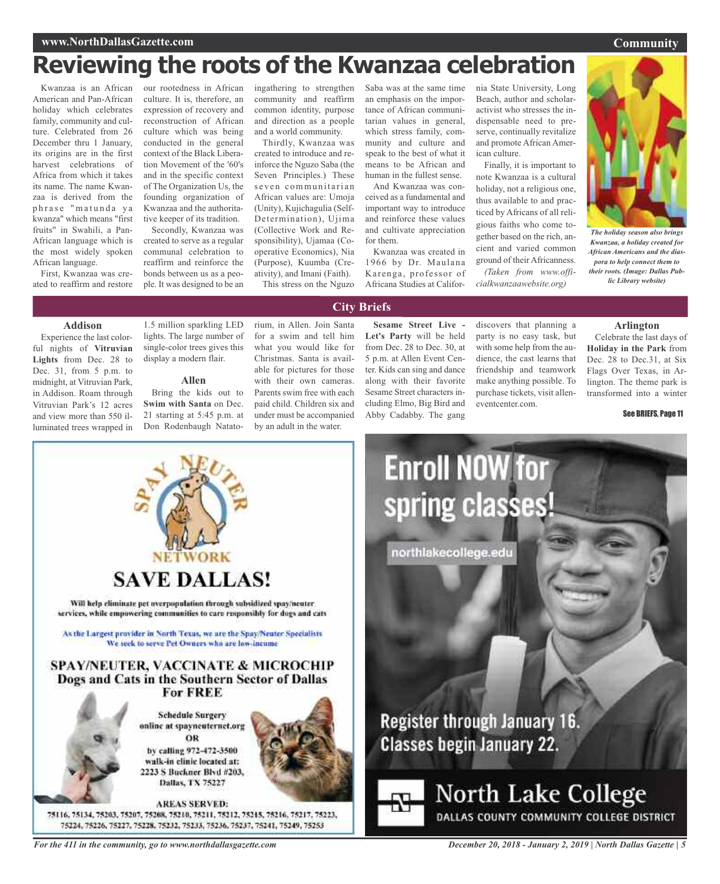### **www.NorthDallasGazette.com**

## **Reviewing the roots of the Kwanzaa celebration**

Kwanzaa is an African American and Pan-African holiday which celebrates family, community and culture. Celebrated from 26 December thru 1 January, its origins are in the first harvest celebrations of Africa from which it takes its name. The name Kwanzaa is derived from the phrase "matunda ya kwanza" which means "first fruits" in Swahili, a Pan-African language which is the most widely spoken African language.

First, Kwanzaa was created to reaffirm and restore

our rootedness in African culture. It is, therefore, an expression of recovery and reconstruction of African culture which was being conducted in the general context of the Black Liberation Movement of the '60's and in the specific context of The Organization Us, the founding organization of Kwanzaa and the authoritative keeper of its tradition.

Secondly, Kwanzaa was created to serve as a regular communal celebration to reaffirm and reinforce the bonds between us as a people. It was designed to be an

ingathering to strengthen community and reaffirm common identity, purpose and direction as a people and a world community.

Thirdly, Kwanzaa was created to introduce and reinforce the Nguzo Saba (the Seven Principles.) These s e v e n c o m munitarian African values are: Umoja (Unity), Kujichagulia (Self-Determination), Ujima (Collective Work and Responsibility), Ujamaa (Cooperative Economics), Nia (Purpose), Kuumba (Creativity), and Imani (Faith). This stress on the Nguzo

Saba was at the same time an emphasis on the importance of African communitarian values in general, which stress family, community and culture and speak to the best of what it means to be African and human in the fullest sense.

And Kwanzaa was conceived as a fundamental and important way to introduce and reinforce these values and cultivate appreciation for them.

Kwanzaa was created in 1966 by Dr. Maulana Karenga, professor of Africana Studies at California State University, Long Beach, author and scholaractivist who stresses the indispensable need to preserve, continually revitalize and promote African American culture.

Finally, it is important to note Kwanzaa is a cultural holiday, not a religious one, thus available to and practiced by Africans of all religious faiths who come together based on the rich, ancient and varied common ground of their Africanness. *(Taken from www.officialkwanzaawebsite.org)*



*The holiday season also brings Kwanzaa, a holiday created for African Americans and the diaspora to help connect them to their roots. (Image: Dallas Public Library website)*

### **Addison**

Experience the last colorful nights of **Vitruvian Lights** from Dec. 28 to Dec. 31, from 5 p.m. to midnight, at Vitruvian Park, in Addison. Roam through Vitruvian Park's 12 acres and view more than 550 illuminated trees wrapped in

1.5 million sparkling LED lights. The large number of single-color trees gives this display a modern flair.

### **Allen**

Bring the kids out to **Swim with Santa** on Dec. 21 starting at 5:45 p.m. at Don Rodenbaugh Natato-

rium, in Allen. Join Santa for a swim and tell him what you would like for Christmas. Santa is available for pictures for those with their own cameras. Parents swim free with each paid child. Children six and under must be accompanied by an adult in the water.

### **Sesame Street Live -**

 $\overline{\text{City}}$  **Briefs** 

**Let's Party** will be held from Dec. 28 to Dec. 30, at 5 p.m. at Allen Event Center. Kids can sing and dance along with their favorite Sesame Street characters including Elmo, Big Bird and Abby Cadabby. The gang

discovers that planning a party is no easy task, but with some help from the audience, the cast learns that friendship and teamwork make anything possible. To purchase tickets, visit alleneventcenter.com.

#### **Arlington**

Celebrate the last days of **Holiday in the Park** from Dec. 28 to Dec.31, at Six Flags Over Texas, in Arlington. The theme park is transformed into a winter

#### See BRIEFS, Page 11



**AREAS SERVED:** 75116, 75134, 75203, 75207, 75208, 75210, 75211, 75212, 75215, 75216, 75217, 75223, 75224, 75226, 75227, 75228, 75232, 75233, 75236, 75237, 75241, 75249, 75253

Register through January 16. **Classes begin January 22.** 

**Enroll NOW for** 

spring classes!

northlakecollege.edu



North Lake College DALLAS COUNTY COMMUNITY COLLEGE DISTRICT

*For the 411 in the community, go to www.northdallasgazette.com*

*December 20, 2018 - January 2, 2019 | North Dallas Gazette | 5*

### **Community**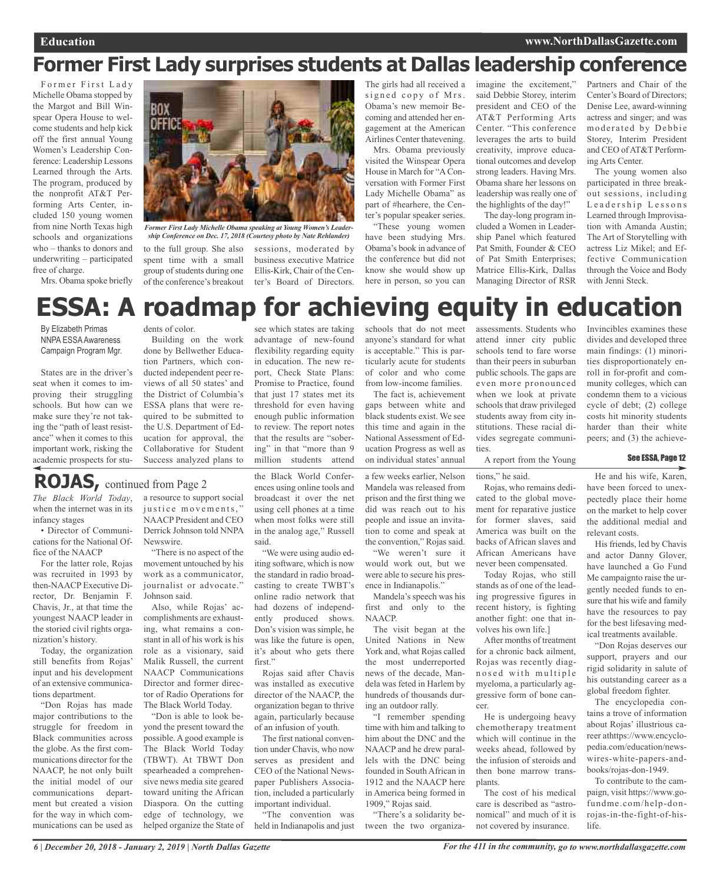## **Former First Lady surprises students at Dallas leadership conference**

Former First Lady Michelle Obama stopped by the Margot and Bill Winspear Opera House to welcome students and help kick off the first annual Young Women's Leadership Conference: Leadership Lessons Learned through the Arts. The program, produced by the nonprofit AT&T Performing Arts Center, included 150 young women from nine North Texas high schools and organizations who – thanks to donors and underwriting – participated free of charge.

Mrs. Obama spoke briefly



*Former First Lady Michelle Obama speaking at Young Women's Leadership Conference on Dec. 17, 2018 (Courtesy photo by Nate Rehlander)*

spent time with a small group of students during one of the conference's breakout

to the full group. She also sessions, moderated by business executive Matrice Ellis-Kirk, Chair of the Center's Board of Directors.

The girls had all received a signed copy of Mrs. Obama's new memoir Becoming and attended her engagement at the American Airlines Center thatevening.

Mrs. Obama previously visited the Winspear Opera House in March for "AConversation with Former First Lady Michelle Obama" as part of #hearhere, the Center's popular speaker series.

"These young women have been studying Mrs. Obama's book in advance of the conference but did not know she would show up here in person, so you can imagine the excitement," said Debbie Storey, interim president and CEO of the AT&T Performing Arts Center. "This conference leverages the arts to build creativity, improve educational outcomes and develop strong leaders. Having Mrs. Obama share her lessons on leadership was really one of the highlights of the day!"

The day-long program included a Women in Leadership Panel which featured Pat Smith, Founder & CEO of Pat Smith Enterprises; Matrice Ellis-Kirk, Dallas Managing Director of RSR

Partners and Chair of the Center's Board of Directors; Denise Lee, award-winning actress and singer; and was moderated by Debbie Storey, Interim President and CEO ofAT&T Performing Arts Center.

The young women also participated in three breakout sessions, including Leadership Lessons Learned through Improvisation with Amanda Austin; The Art of Storytelling with actress Liz Mikel; and Effective Communication through the Voice and Body with Jenni Steck.

### **ESSA: A roadmap for achieving equity in education** Invincibles examines these

By Elizabeth Primas NNPA ESSA Awareness Campaign Program Mgr.

States are in the driver's seat when it comes to improving their struggling schools. But how can we make sure they're not taking the "path of least resistance" when it comes to this important work, risking the academic prospects for students of color.

Building on the work done by Bellwether Education Partners, which conducted independent peer reviews of all 50 states' and the District of Columbia's ESSA plans that were required to be submitted to the U.S. Department of Education for approval, the Collaborative for Student Success analyzed plans to

## **ROJAS,** continued from Page <sup>2</sup>

when the internet was in its infancy stages

• Director of Communications for the National Office of the NAACP

For the latter role, Rojas was recruited in 1993 by then-NAACP Executive Director, Dr. Benjamin F. Chavis, Jr., at that time the youngest NAACP leader in the storied civil rights organization's history.

Today, the organization still benefits from Rojas' input and his development of an extensive communications department.

"Don Rojas has made major contributions to the struggle for freedom in Black communities across the globe. As the first communications director for the NAACP, he not only built the initial model of our communications department but created a vision for the way in which communications can be used as

*The Black World Today*, a resource to support social justice movements," NAACP President and CEO Derrick Johnson told NNPA Newswire.

"There is no aspect of the movement untouched by his work as a communicator, journalist or advocate." Johnson said.

Also, while Rojas' accomplishments are exhausting, what remains a constant in all of his work is his role as a visionary, said Malik Russell, the current NAACP Communications Director and former director of Radio Operations for The Black World Today.

"Don is able to look beyond the present toward the possible. A good example is The Black World Today (TBWT). At TBWT Don spearheaded a comprehensive news media site geared toward uniting the African Diaspora. On the cutting edge of technology, we helped organize the State of

see which states are taking advantage of new-found flexibility regarding equity in education. The new report, Check State Plans: Promise to Practice, found that just 17 states met its threshold for even having enough public information to review. The report notes that the results are "sobering" in that "more than 9 million students attend

the Black World Conferences using online tools and broadcast it over the net using cell phones at a time when most folks were still in the analog age," Russell said.

"We were using audio editing software, which is now the standard in radio broadcasting to create TWBT's online radio network that had dozens of independently produced shows. Don's vision was simple, he was like the future is open, it's about who gets there first."

Rojas said after Chavis was installed as executive director of the NAACP, the organization began to thrive again, particularly because of an infusion of youth.

The first national convention under Chavis, who now serves as president and CEO of the National Newspaper Publishers Association, included a particularly important individual.

"The convention was held in Indianapolis and just schools that do not meet anyone's standard for what is acceptable." This is particularly acute for students of color and who come from low-income families.

The fact is, achievement gaps between white and black students exist. We see this time and again in the National Assessment of Education Progress as well as on individual states' annual

a few weeks earlier, Nelson Mandela was released from prison and the first thing we did was reach out to his people and issue an invitation to come and speak at the convention," Rojas said.

"We weren't sure it would work out, but we were able to secure his presence in Indianapolis."

Mandela's speech was his first and only to the NAACP.

The visit began at the United Nations in New York and, what Rojas called the most underreported news of the decade, Mandela was feted in Harlem by hundreds of thousands during an outdoor rally.

"I remember spending time with him and talking to him about the DNC and the NAACP and he drew parallels with the DNC being founded in South African in 1912 and the NAACP here in America being formed in 1909," Rojas said.

"There's a solidarity between the two organizaassessments. Students who attend inner city public schools tend to fare worse than their peers in suburban public schools. The gaps are even more pronounced when we look at private schools that draw privileged students away from city institutions. These racial divides segregate communities. divides and developed three main findings: (1) minorities disproportionately enroll in for-profit and community colleges, which can condemn them to a vicious cycle of debt; (2) college

A report from the Young

tions," he said.

Rojas, who remains dedicated to the global movement for reparative justice for former slaves, said America was built on the backs of African slaves and African Americans have never been compensated.

Today Rojas, who still stands as of one of the leading progressive figures in recent history, is fighting another fight: one that involves his own life.]

After months of treatment for a chronic back ailment, Rojas was recently diagnosed with multiple myeloma, a particularly aggressive form of bone cancer.

He is undergoing heavy chemotherapy treatment which will continue in the weeks ahead, followed by the infusion of steroids and then bone marrow transplants.

The cost of his medical care is described as "astronomical" and much of it is not covered by insurance.

He and his wife, Karen, have been forced to unexcosts hit minority students harder than their white peers; and (3) the achieve-See ESSA, Page 12

pectedly place their home on the market to help cover the additional medial and relevant costs.

His friends, led by Chavis and actor Danny Glover, have launched a Go Fund Me campaignto raise the urgently needed funds to ensure that his wife and family have the resources to pay for the best lifesaving medical treatments available.

"Don Rojas deserves our support, prayers and our rigid solidarity in salute of his outstanding career as a global freedom fighter.

The encyclopedia contains a trove of information about Rojas' illustrious career athttps://www.encyclopedia.com/education/newswires-white-papers-andbooks/rojas-don-1949.

To contribute to the campaign, visit https://www.gofundme.com/help-donrojas-in-the-fight-of-hislife.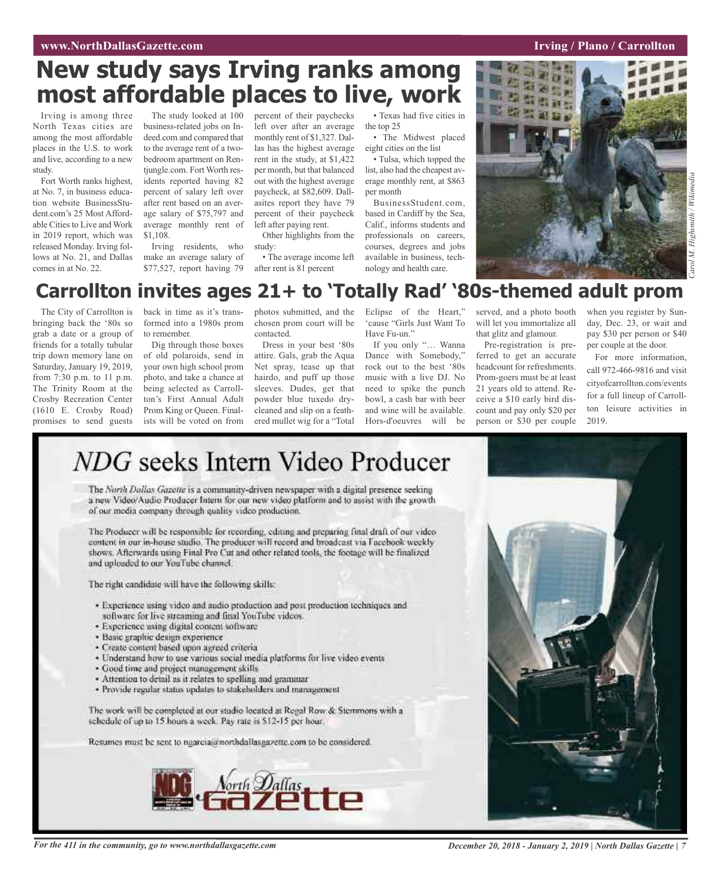### **WAW.SorthDallasGazette.com Irving** / **Plano** / **Carrollton**

## **New study says Irving ranks among most affordable places to live, work**

Irving is among three North Texas cities are among the most affordable places in the U.S. to work and live, according to a new study.

Fort Worth ranks highest, at No. 7, in business education website BusinessStudent.com's 25 Most Affordable Cities to Live and Work in 2019 report, which was released Monday. Irving follows at No. 21, and Dallas comes in at No. 22.

The study looked at 100 business-related jobs on Indeed.com and compared that to the average rent of a twobedroom apartment on Rentjungle.com. Fort Worth residents reported having 82 percent of salary left over after rent based on an average salary of \$75,797 and average monthly rent of \$1,108.

Irving residents, who make an average salary of \$77,527, report having 79

percent of their paychecks left over after an average monthly rent of \$1,327. Dallas has the highest average rent in the study, at \$1,422 per month, but that balanced out with the highest average paycheck, at \$82,609. Dallasites report they have 79 percent of their paycheck left after paying rent.

Other highlights from the study:

• The average income left after rent is 81 percent

• Texas had five cities in the top 25

• The Midwest placed eight cities on the list • Tulsa, which topped the

list, also had the cheapest average monthly rent, at \$863 per month

BusinessStudent.com, based in Cardiff by the Sea, Calif., informs students and professionals on careers, courses, degrees and jobs available in business, technology and health care.





### **Carrollton invites ages 21+ to 'Totally Rad' '80s-themed adult prom**

The City of Carrollton is bringing back the '80s so grab a date or a group of friends for a totally tubular trip down memory lane on Saturday, January 19, 2019, from 7:30 p.m. to 11 p.m. The Trinity Room at the Crosby Recreation Center (1610 E. Crosby Road) promises to send guests

back in time as it's transformed into a 1980s prom to remember.

Dig through those boxes of old polaroids, send in your own high school prom photo, and take a chance at being selected as Carrollton's First Annual Adult Prom King or Queen. Finalists will be voted on from

chosen prom court will be contacted.

Dress in your best '80s attire. Gals, grab the Aqua Net spray, tease up that hairdo, and puff up those sleeves. Dudes, get that powder blue tuxedo drycleaned and slip on a feathered mullet wig for a "Total

photos submitted, and the Eclipse of the Heart," 'cause "Girls Just Want To Have Fu-un."

If you only "… Wanna Dance with Somebody," rock out to the best '80s music with a live DJ. No need to spike the punch bowl, a cash bar with beer and wine will be available. Hors-d'oeuvres will be

served, and a photo booth will let you immortalize all that glitz and glamour.

Pre-registration is preferred to get an accurate headcount for refreshments. Prom-goers must be at least 21 years old to attend. Receive a \$10 early bird discount and pay only \$20 per person or \$30 per couple when you register by Sunday, Dec. 23, or wait and pay \$30 per person or \$40 per couple at the door.

For more information, call 972-466-9816 and visit cityofcarrollton.com/events for a full lineup of Carrollton leisure activities in 2019.

## NDG seeks Intern Video Producer

The North Dallax Gazette is a community-driven newspaper with a digital presence seeking a new Video/Audio Producer Intern for our new video platform and to assist with the growth of our modia company through quality video production.

The Producer will be responsible for recording, editing and preparing final draft of our video. content in our in-house studio. The producer will record and broadcast via Facebook weekly shows. Afterwards using Final Pro Cut and other related tools, the footage will be finalized and uploaded to our YouTube channel.

The right candidate will have the following skills:

- · Experience using video and audio production and post production techniques and software for live streaming and final YouTube videos.
- · Experience using digital content software
- · Basic graphic design experience
- · Create content based upon agreed criteria
- · Understand how to use various social media platforms for live video events
- · Good time and project management skills
- · Attention to detail as it relates to spelling and grammar
- · Provide regular status updates to stakeholders and management

The work will be completed at our studio located at Regal Row & Stemmons with a schedule of up to 15 hours a week. Pay rate is \$12-15 per hour.

Resumes must be sent to ngarcia@northdallusgazette.com to be considered,



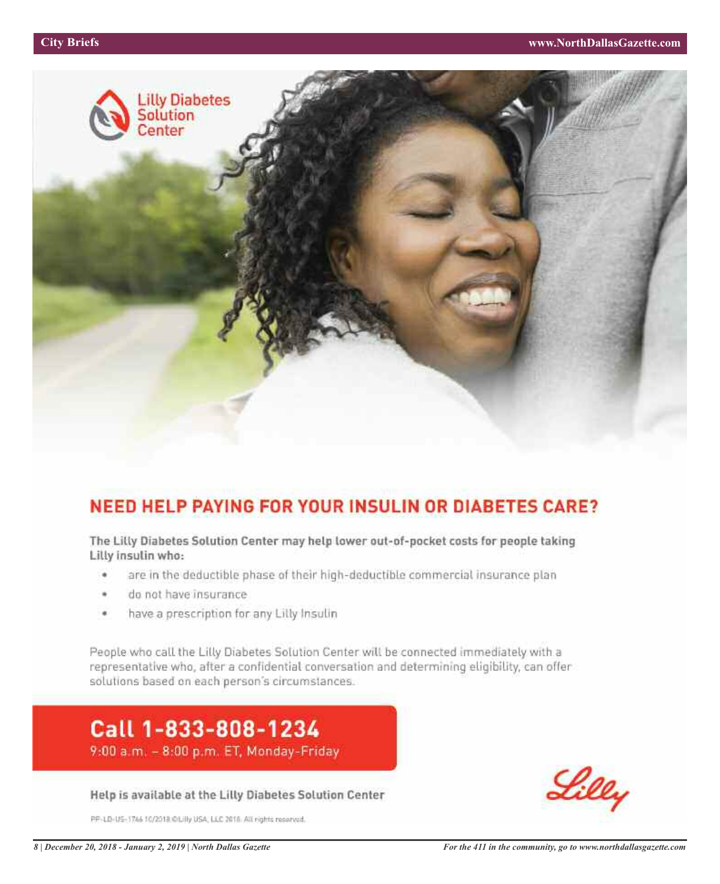

## **NEED HELP PAYING FOR YOUR INSULIN OR DIABETES CARE?**

The Lilly Diabetes Solution Center may help lower out-of-pocket costs for people taking Lilly insulin who:

- are in the deductible phase of their high-deductible commercial insurance plan
- do not have insurance
- have a prescription for any Lilly Insulin  $\alpha$

People who call the Lilly Diabetes Solution Center will be connected immediately with a representative who, after a confidential conversation and determining eligibility, can offer solutions based on each person's circumstances.

## Call 1-833-808-1234 9:00 a.m. - 8:00 p.m. ET, Monday-Friday

Help is available at the Lilly Diabetes Solution Center

PP-LD-US-1746 10/2018 @Lilly USA, LLC 2018. All rights reserved.

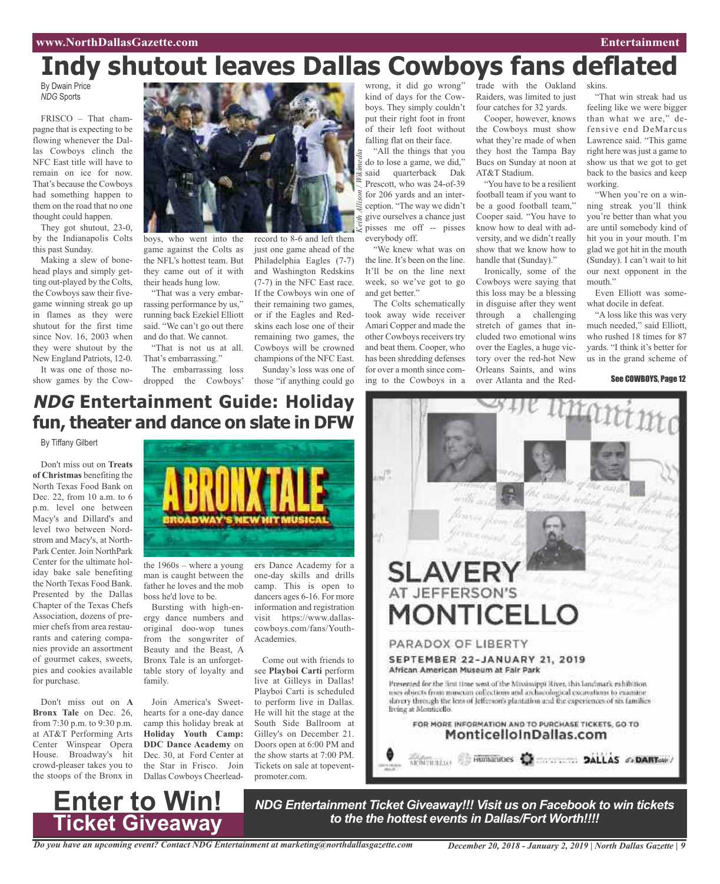## **Indy shutout leaves Dallas Cowboys fans deflated**

*Keith Allison / Wikimedia*

By Dwain Price *NDG* Sports

FRISCO – That champagne that is expecting to be flowing whenever the Dallas Cowboys clinch the NFC East title will have to remain on ice for now. That's because the Cowboys had something happen to them on the road that no one thought could happen.

They got shutout, 23-0, by the Indianapolis Colts this past Sunday.

Making a slew of bonehead plays and simply getting out-played by the Colts, the Cowboys saw their fivegame winning streak go up in flames as they were shutout for the first time since Nov. 16, 2003 when they were shutout by the New England Patriots, 12-0. It was one of those no-

show games by the Cow-



boys, who went into the game against the Colts as the NFL's hottest team. But they came out of it with their heads hung low.

"That was a very embarrassing performance by us," running back Ezekiel Elliott said. "We can't go out there and do that. We cannot. "That is not us at all.

That's embarrassing." The embarrassing loss

dropped the Cowboys'

record to 8-6 and left them just one game ahead of the Philadelphia Eagles (7-7) and Washington Redskins (7-7) in the NFC East race. If the Cowboys win one of their remaining two games, or if the Eagles and Redskins each lose one of their remaining two games, the Cowboys will be crowned champions of the NFC East. Sunday's loss was one of those "if anything could go

wrong, it did go wrong" kind of days for the Cowboys. They simply couldn't put their right foot in front of their left foot without falling flat on their face.

"All the things that you do to lose a game, we did," said quarterback Dak Prescott, who was 24-of-39 for 206 yards and an interception. "The way we didn't give ourselves a chance just pisses me off -- pisses everybody off.

"We knew what was on the line. It's been on the line. It'll be on the line next week, so we've got to go and get better."

The Colts schematically took away wide receiver Amari Copper and made the other Cowboys receivers try and beat them. Cooper, who has been shredding defenses for over a month since coming to the Cowboys in a

trade with the Oakland Raiders, was limited to just four catches for 32 yards.

Cooper, however, knows the Cowboys must show what they're made of when they host the Tampa Bay Bucs on Sunday at noon at AT&T Stadium.

"You have to be a resilient football team if you want to be a good football team," Cooper said. "You have to know how to deal with adversity, and we didn't really show that we know how to handle that (Sunday)."

Ironically, some of the Cowboys were saying that this loss may be a blessing in disguise after they went through a challenging stretch of games that included two emotional wins over the Eagles, a huge victory over the red-hot New Orleans Saints, and wins over Atlanta and the Red-

"That win streak had us feeling like we were bigger than what we are," defensive end DeMarcus Lawrence said. "This game right here was just a game to show us that we got to get back to the basics and keep working.

skins.

"When you're on a winning streak you'll think you're better than what you are until somebody kind of hit you in your mouth. I'm glad we got hit in the mouth (Sunday). I can't wait to hit our next opponent in the mouth."

Even Elliott was somewhat docile in defeat.

"A loss like this was very much needed," said Elliott, who rushed 18 times for 87 yards. "I think it's better for us in the grand scheme of

### See COWBOYS, Page 12

## **NDG Entertainment Guide: Holiday fun, theater and dance on slate in DFW**

By Tiffany Gilbert

Don't miss out on **Treats of Christmas** benefiting the North Texas Food Bank on Dec. 22, from 10 a.m. to 6 p.m. level one between Macy's and Dillard's and level two between Nordstrom and Macy's, at North-Park Center. Join NorthPark Center for the ultimate holiday bake sale benefiting the North Texas Food Bank. Presented by the Dallas Chapter of the Texas Chefs Association, dozens of premier chefs from area restaurants and catering companies provide an assortment of gourmet cakes, sweets, pies and cookies available for purchase.

Don't miss out on **A Bronx Tale** on Dec. 26, from 7:30 p.m. to 9:30 p.m. at AT&T Performing Arts Center Winspear Opera House. Broadway's hit crowd-pleaser takes you to the stoops of the Bronx in



the 1960s – where a young man is caught between the father he loves and the mob boss he'd love to be.

Bursting with high-energy dance numbers and original doo-wop tunes from the songwriter of Beauty and the Beast, A Bronx Tale is an unforgettable story of loyalty and family.

Join America's Sweethearts for a one-day dance camp this holiday break at **Holiday Youth Camp: DDC Dance Academy** on Dec. 30, at Ford Center at the Star in Frisco. Join Dallas Cowboys Cheerleadone-day skills and drills camp. This is open to dancers ages 6-16. For more information and registration visit https://www.dallascowboys.com/fans/Youth-Academies.

ers Dance Academy for a

Come out with friends to see **Playboi Carti** perform live at Gilleys in Dallas! Playboi Carti is scheduled to perform live in Dallas. He will hit the stage at the South Side Ballroom at Gilley's on December 21. Doors open at 6:00 PM and the show starts at 7:00 PM. Tickets on sale at topeventpromoter.com.





*NDG Entertainment Ticket Giveaway!!! Visit us on Facebook to win tickets to the the hottest events in Dallas/Fort Worth!!!!*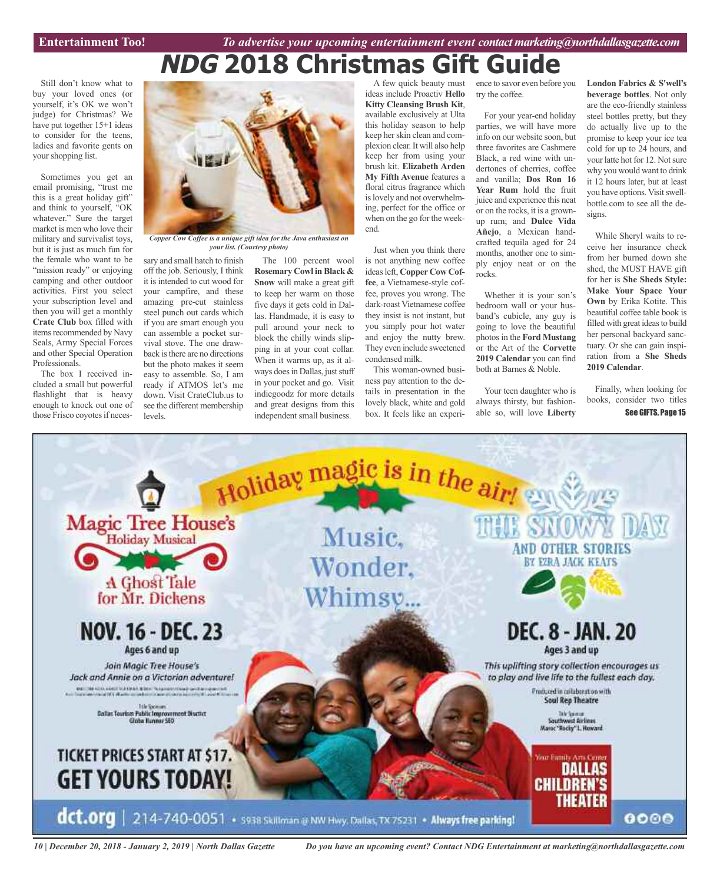## **NDG 2018 Christmas Gift Guide**

Still don't know what to buy your loved ones (or yourself, it's OK we won't judge) for Christmas? We have put together 15+1 ideas to consider for the teens, ladies and favorite gents on your shopping list.

Sometimes you get an email promising, "trust me this is a great holiday gift" and think to yourself, "OK whatever." Sure the target market is men who love their military and survivalist toys, but it is just as much fun for the female who want to be "mission ready" or enjoying camping and other outdoor activities. First you select your subscription level and then you will get a monthly **Crate Club** box filled with items recommended by Navy Seals, Army Special Forces and other Special Operation Professionals.

The box I received included a small but powerful flashlight that is heavy enough to knock out one of those Frisco coyotes if neces-



*Copper Cow Coffee is a unique gift idea for the Java enthusiast on your list. (Courtesy photo)*

sary and small hatch to finish off the job. Seriously, I think it is intended to cut wood for your campfire, and these amazing pre-cut stainless steel punch out cards which if you are smart enough you can assemble a pocket survival stove. The one drawback is there are no directions but the photo makes it seem easy to assemble. So, I am ready if ATMOS let's me down. Visit CrateClub.us to see the different membership levels.

The 100 percent wool **Rosemary Cowl in Black & Snow** will make a great gift to keep her warm on those five days it gets cold in Dallas. Handmade, it is easy to pull around your neck to block the chilly winds slipping in at your coat collar. When it warms up, as it always does in Dallas, just stuff in your pocket and go. Visit indiegoodz for more details and great designs from this independent small business.

A few quick beauty must ideas include Proactiv **Hello Kitty Cleansing Brush Kit**, available exclusively at Ulta this holiday season to help keep her skin clean and complexion clear. It will also help keep her from using your brush kit. **Elizabeth Arden My Fifth Avenue** features a floral citrus fragrance which is lovely and not overwhelming, perfect for the office or when on the go for the weekend.

Just when you think there is not anything new coffee ideasleft, **Copper Cow Coffee**, a Vietnamese-style coffee, proves you wrong. The dark-roast Vietnamese coffee they insist is not instant, but you simply pour hot water and enjoy the nutty brew. They even include sweetened condensed milk.

This woman-owned business pay attention to the details in presentation in the lovely black, white and gold box. It feels like an experience to savor even before you try the coffee.

For your year-end holiday parties, we will have more info on our website soon, but three favorites are Cashmere Black, a red wine with undertones of cherries, coffee and vanilla; **Dos Ron 16 Year Rum** hold the fruit juice and experience this neat or on the rocks, it is a grownup rum; and **Dulce Vida Añejo**, a Mexican handcrafted tequila aged for 24 months, another one to simply enjoy neat or on the rocks.

Whether it is your son's bedroom wall or your husband's cubicle, any guy is going to love the beautiful photos in the **Ford Mustang** or the Art of the **Corvette 2019 Calendar** you can find both at Barnes & Noble.

Your teen daughter who is always thirsty, but fashionable so, will love **Liberty**

**London Fabrics & S'well's beverage bottles**. Not only are the eco-friendly stainless steel bottles pretty, but they do actually live up to the promise to keep your ice tea cold for up to 24 hours, and your latte hot for 12. Not sure why you would want to drink it 12 hours later, but at least you have options. Visit swellbottle.com to see all the designs.

While Sheryl waits to receive her insurance check from her burned down she shed, the MUST HAVE gift for her is **She Sheds Style: Make Your Space Your Own** by Erika Kotite. This beautiful coffee table book is filled with great ideas to build her personal backyard sanctuary. Or she can gain inspiration from a **She Sheds 2019 Calendar**.

Finally, when looking for books, consider two titles See GIFTS, Page 15



*10 | December 20, 2018 - January 2, 2019 | North Dallas Gazette*

*Do you have an upcoming event? Contact NDG Entertainment at marketing@northdallasgazette.com*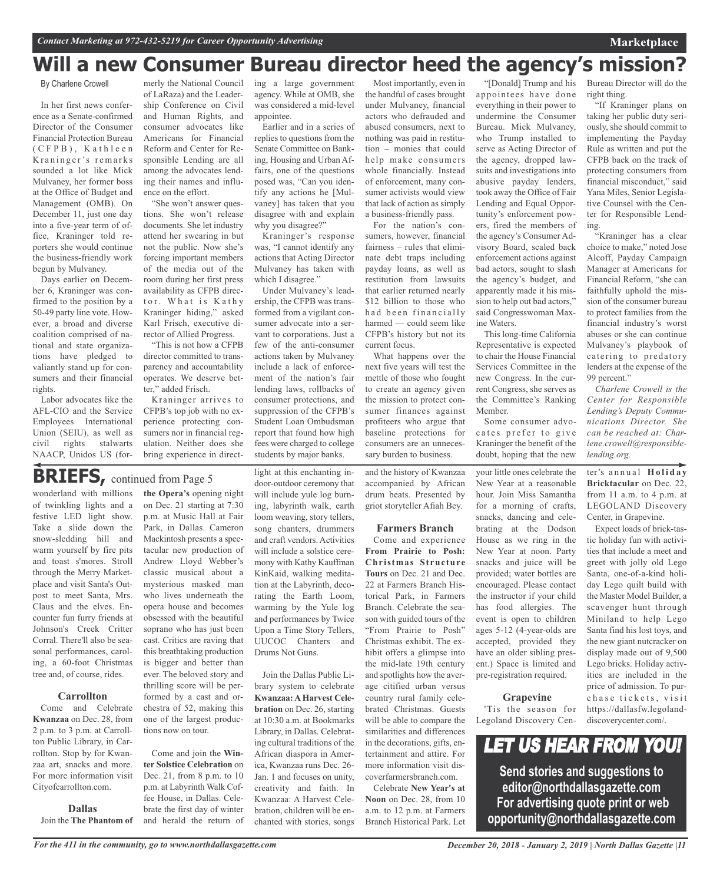## **Will a new Consumer Bureau director heed the agency's mission?**

By Charlene Crowell

In her first news conference as a Senate-confirmed Director of the Consumer Financial Protection Bureau ( C F P B ), K a th l e e n Kraninger's remarks sounded a lot like Mick Mulvaney, her former boss at the Office of Budget and Management (OMB). On December 11, just one day into a five-year term of office, Kraninger told reporters she would continue the business-friendly work begun by Mulvaney.

Days earlier on December 6, Kraninger was confirmed to the position by a 50-49 party line vote. However, a broad and diverse coalition comprised of national and state organizations have pledged to valiantly stand up for consumers and their financial rights.

Labor advocates like the AFL-CIO and the Service Employees International Union (SEIU), as well as civil rights stalwarts NAACP, Unidos US (for-

merly the National Council of LaRaza) and the Leadership Conference on Civil and Human Rights, and consumer advocates like Americans for Financial Reform and Center for Responsible Lending are all among the advocates lending their names and influence on the effort.

"She won't answer questions. She won't release documents. She let industry attend her swearing in but not the public. Now she's forcing important members of the media out of the room during her first press availability as CFPB director. What is Kathy Kraninger hiding," asked Karl Frisch, executive director of Allied Progress.

"This is not how a CFPB director committed to transparency and accountability operates. We deserve better," added Frisch.

Kraninger arrives to CFPB's top job with no experience protecting consumers nor in financial regulation. Neither does she bring experience in direct-

ing a large government agency. While at OMB, she was considered a mid-level appointee.

Earlier and in a series of replies to questions from the Senate Committee on Banking, Housing and Urban Affairs, one of the questions posed was, "Can you identify any actions he [Mulvaney] has taken that you disagree with and explain why you disagree?"

Kraninger's response was, "I cannot identify any actions that Acting Director Mulvaney has taken with which I disagree."

Under Mulvaney's leadership, the CFPB was transformed from a vigilant consumer advocate into a servant to corporations. Just a few of the anti-consumer actions taken by Mulvaney include a lack of enforcement of the nation's fair lending laws, rollbacks of consumer protections, and suppression of the CFPB's Student Loan Ombudsman report that found how high fees were charged to college students by major banks.

the handful of cases brought under Mulvaney, financial actors who defrauded and abused consumers, next to nothing was paid in restitution – monies that could help make consumers whole financially. Instead of enforcement, many consumer activists would view that lack of action as simply a business-friendly pass.

Most importantly, even in

For the nation's consumers, however, financial fairness – rules that eliminate debt traps including payday loans, as well as restitution from lawsuits that earlier returned nearly \$12 billion to those who had been financially harmed — could seem like CFPB's history but not its current focus.

What happens over the next five years will test the mettle of those who fought to create an agency given the mission to protect consumer finances against profiteers who argue that baseline protections for consumers are an unnecessary burden to business.

and the history of Kwanzaa accompanied by African drum beats. Presented by griot storyteller Afiah Bey.

#### **Farmers Branch**

Come and experience **From Prairie to Posh: Christmas Structure Tours** on Dec. 21 and Dec. 22 at Farmers Branch Historical Park, in Farmers Branch. Celebrate the season with guided tours of the "From Prairie to Posh" Christmas exhibit. The exhibit offers a glimpse into the mid-late 19th century and spotlights how the average citified urban versus country rural family celebrated Christmas. Guests will be able to compare the similarities and differences in the decorations, gifts, entertainment and attire. For more information visit discoverfarmersbranch.com.

Celebrate **New Year's at Noon** on Dec. 28, from 10 a.m. to 12 p.m. at Farmers Branch Historical Park. Let

"[Donald] Trump and his appointees have done everything in their power to undermine the Consumer Bureau. Mick Mulvaney, who Trump installed to serve as Acting Director of the agency, dropped lawsuits and investigations into abusive payday lenders, took away the Office of Fair Lending and Equal Opportunity's enforcement powers, fired the members of the agency's Consumer Advisory Board, scaled back enforcement actions against bad actors, sought to slash the agency's budget, and apparently made it his mission to help out bad actors," said Congresswoman Maxine Waters.

This long-time California Representative is expected to chair the House Financial Services Committee in the new Congress. In the current Congress, she serves as the Committee's Ranking Member.

Some consumer advocates prefer to give Kraninger the benefit of the doubt, hoping that the new

your little ones celebrate the New Year at a reasonable hour. Join Miss Samantha for a morning of crafts, snacks, dancing and celebrating at the Dodson House as we ring in the New Year at noon. Party snacks and juice will be provided; water bottles are encouraged. Please contact the instructor if your child has food allergies. The event is open to children ages 5-12 (4-year-olds are accepted, provided they have an older sibling present.) Space is limited and pre-registration required.

### **Grapevine**

'Tis the season for Legoland Discovery CenBureau Director will do the right thing.

"If Kraninger plans on taking her public duty seriously, she should commit to implementing the Payday Rule as written and put the CFPB back on the track of protecting consumers from financial misconduct," said Yana Miles, Senior Legislative Counsel with the Center for Responsible Lending.

"Kraninger has a clear choice to make," noted Jose Alcoff, Payday Campaign Manager at Americans for Financial Reform, "she can faithfully uphold the mission of the consumer bureau to protect families from the financial industry's worst abuses or she can continue Mulvaney's playbook of catering to predatory lenders at the expense of the 99 percent."

*Charlene Crowell is the Center for Responsible Lending's Deputy Communications Director. She can be reached at: Charlene.crowell@responsiblelending.org.*

 $ter's$  annual **Holiday Bricktacular** on Dec. 22, from 11 a.m. to 4 p.m. at LEGOLAND Discovery Center, in Grapevine.

Expect loads of brick-tastic holiday fun with activities that include a meet and greet with jolly old Lego Santa, one-of-a-kind holiday Lego quilt build with the Master Model Builder, a scavenger hunt through Miniland to help Lego Santa find his lost toys, and the new giant nutcracker on display made out of 9,500 Lego bricks. Holiday activities are included in the price of admission. To purchase tickets, visit https://dallasfw.legolanddiscoverycenter.com/.

LET US HEAR FROM YOU!

**Send stories and suggestions to editor@northdallasgazette.com For advertising quote print or web opportunity@northdallasgazette.com**

### **BRIEFS**, continued from Page 5

wonderland with millions of twinkling lights and a festive LED light show. Take a slide down the snow-sledding hill and warm yourself by fire pits and toast s'mores. Stroll through the Merry Marketplace and visit Santa's Outpost to meet Santa, Mrs. Claus and the elves. Encounter fun furry friends at Johnson's Creek Critter Corral. There'll also be seasonal performances, caroling, a 60-foot Christmas tree and, of course, rides.

#### **Carrollton**

Come and Celebrate **Kwanzaa** on Dec. 28, from 2 p.m. to 3 p.m. at Carrollton Public Library, in Carrollton. Stop by for Kwanzaa art, snacks and more. For more information visit Cityofcarrollton.com.

**Dallas** Join the **The Phantom of** **the Opera's** opening night on Dec. 21 starting at 7:30 p.m. at Music Hall at Fair Park, in Dallas. Cameron Mackintosh presents a spectacular new production of Andrew Lloyd Webber's classic musical about a mysterious masked man who lives underneath the opera house and becomes obsessed with the beautiful soprano who has just been cast. Critics are raving that this breathtaking production is bigger and better than ever. The beloved story and thrilling score will be performed by a cast and orchestra of 52, making this one of the largest productions now on tour.

Come and join the **Winter Solstice Celebration** on Dec. 21, from 8 p.m. to 10 p.m. at Labyrinth Walk Coffee House, in Dallas. Celebrate the first day of winter and herald the return of light at this enchanting indoor-outdoor ceremony that will include yule log burning, labyrinth walk, earth loom weaving, story tellers, song chanters, drummers and craft vendors. Activities will include a solstice ceremony with Kathy Kauffman KinKaid, walking meditation at the Labyrinth, decorating the Earth Loom, warming by the Yule log and performances by Twice Upon a Time Story Tellers, UUCOC Chanters and Drums Not Guns.

Join the Dallas Public Library system to celebrate **Kwanzaa: AHarvest Celebration** on Dec. 26, starting at 10:30 a.m. at Bookmarks Library, in Dallas. Celebrating cultural traditions of the African diaspora in America, Kwanzaa runs Dec. 26- Jan. 1 and focuses on unity, creativity and faith. In Kwanzaa: A Harvest Celebration, children will be enchanted with stories, songs

### *For the 411 in the community, go to www.northdallasgazette.com*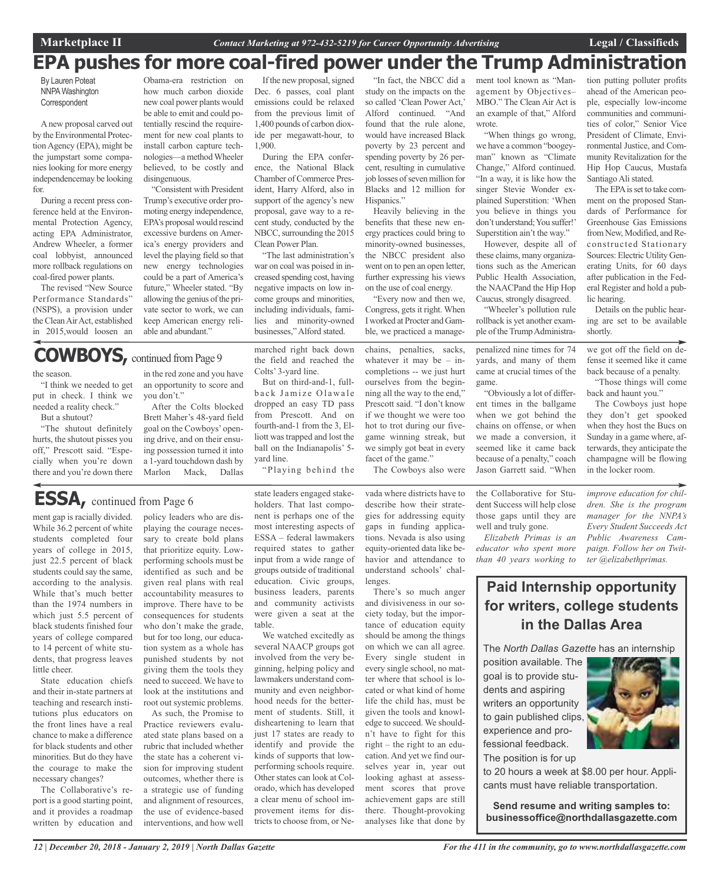## **EPA pushes for more coal-fired power under the Trump Administration**

By Lauren Poteat **NNPA Washington Correspondent** 

Anew proposal carved out by the Environmental Protection Agency (EPA), might be the jumpstart some companies looking for more energy independencemay be looking for.

During a recent press conference held at the Environmental Protection Agency, acting EPA Administrator, Andrew Wheeler, a former coal lobbyist, announced more rollback regulations on coal-fired power plants.

The revised "New Source Performance Standards" (NSPS), a provision under theCleanAirAct, established in 2015,would loosen an

"I think we needed to get put in check. I think we needed a reality check." But a shutout?

"The shutout definitely hurts, the shutout pisses you off," Prescott said. "Especially when you're down there and you're down there

the season.

Obama-era restriction on how much carbon dioxide new coal power plants would be able to emit and could potentially rescind the requirement for new coal plants to install carbon capture technologies—a methodWheeler believed, to be costly and disingenuous.

"Consistent with President Trump's executive order promoting energy independence, EPA's proposal would rescind excessive burdens on America's energy providers and level the playing field so that new energy technologies could be a part of America's future," Wheeler stated. "By allowing the genius of the private sector to work, we can keep American energy reliable and abundant."

in the red zone and you have an opportunity to score and

After the Colts blocked Brett Maher's 48-yard field goal on the Cowboys' opening drive, and on their ensuing possession turned it into a 1-yard touchdown dash by Marlon Mack, Dallas

you don't."

**COWBOYS,** continued fromPage <sup>9</sup>

If the new proposal, signed Dec. 6 passes, coal plant emissions could be relaxed from the previous limit of 1,400 pounds of carbon dioxide per megawatt-hour, to 1,900.

During the EPA conference, the National Black Chamber ofCommerce President, Harry Alford, also in support of the agency's new proposal, gave way to a recent study, conducted by the NBCC, surrounding the 2015 Clean Power Plan.

"The last administration's war on coal was poised in increased spending cost, having negative impacts on low income groups and minorities, including individuals, families and minority-owned businesses," Alford stated.

marched right back down the field and reached the Colts' 3-yard line.

But on third-and-1, fullback Jamize Olawale dropped an easy TD pass from Prescott. And on fourth-and-1 from the 3, Elliott was trapped and lost the ball on the Indianapolis' 5 yard line.

"Playing behind the

state leaders engaged stakeholders. That last component is perhaps one of the most interesting aspects of ESSA – federal lawmakers required states to gather input from a wide range of groups outside of traditional education. Civic groups, business leaders, parents and community activists were given a seat at the

table. We watched excitedly as several NAACP groups got involved from the very beginning, helping policy and lawmakers understand community and even neighborhood needs for the betterment of students. Still, it disheartening to learn that just 17 states are ready to identify and provide the kinds of supports that lowperforming schools require. Other states can look at Colorado, which has developed a clear menu of school improvement items for districts to choose from, or Ne-

"In fact, the NBCC did a study on the impacts on the so called 'Clean Power Act,' Alford continued. "And found that the rule alone, would have increased Black poverty by 23 percent and spending poverty by 26 percent, resulting in cumulative job losses of seven million for Blacks and 12 million for Hispanics."

Heavily believing in the benefits that these new energy practices could bring to minority-owned businesses, the NBCC president also went on to pen an open letter, further expressing his views on the use of coal energy.

"Every now and then we, Congress, gets it right. When I worked at Procter and Gamble, we practiced a manage-

chains, penalties, sacks, whatever it may be – incompletions -- we just hurt ourselves from the beginning all the way to the end," Prescott said. "I don't know if we thought we were too hot to trot during our fivegame winning streak, but we simply got beat in every facet of the game."

The Cowboys also were

vada where districts have to describe how their strategies for addressing equity gaps in funding applications. Nevada is also using equity-oriented data like behavior and attendance to understand schools' challenges.

There's so much anger and divisiveness in our society today, but the importance of education equity should be among the things on which we can all agree. Every single student in every single school, no matter where that school is located or what kind of home life the child has, must be given the tools and knowledge to succeed. We shouldn't have to fight for this right – the right to an education. And yet we find ourselves year in, year out looking aghast at assessment scores that prove achievement gaps are still there. Thought-provoking analyses like that done by

ment tool known as "Management by Objectives– MBO." The Clean Air Act is an example of that," Alford wrote.

"When things go wrong, we have a common "boogeyman" known as "Climate Change," Alford continued. "In a way, it is like how the singer Stevie Wonder explained Superstition: 'When you believe in things you don't understand;You suffer!' Superstition ain't the way."

However, despite all of these claims, many organizations such as the American Public Health Association, the NAACPand the Hip Hop Caucus, strongly disagreed.

"Wheeler's pollution rule rollback is yet another example of the Trump Administra-

penalized nine times for 74 yards, and many of them came at crucial times of the game.

"Obviously a lot of different times in the ballgame when we got behind the chains on offense, or when we made a conversion, it seemed like it came back because of a penalty," coach Jason Garrett said. "When

the Collaborative for Student Success will help close those gaps until they are well and truly gone.

*Elizabeth Primas is an educator who spent more than 40 years working to* tion putting polluter profits ahead of the American people, especially low-income communities and communities of color," Senior Vice President of Climate, Environmental Justice, and Community Revitalization for the Hip Hop Caucus, Mustafa Santiago Ali stated.

The EPA is set to take comment on the proposed Standards of Performance for Greenhouse Gas Emissions from New, Modified, and Reconstructed Stationary Sources: Electric Utility Generating Units, for 60 days after publication in the Federal Register and hold a public hearing.

Details on the public hearing are set to be available shortly.

we got off the field on defense it seemed like it came back because of a penalty.

"Those things will come back and haunt you."

The Cowboys just hope they don't get spooked when they host the Bucs on Sunday in a game where, afterwards, they anticipate the champagne will be flowing in the locker room.

*improve education for children. She is the program manager for the NNPA's Every Student Succeeds Act Public Awareness Campaign. Follow her on Twitter @elizabethprimas.*

### **Paid Internship opportunity for writers, college students in the Dallas Area**

The *North Dallas Gazette* has an internship

position available. The goal is to provide students and aspiring writers an opportunity to gain published clips, experience and professional feedback. The position is for up



to 20 hours a week at \$8.00 per hour. Applicants must have reliable transportation.

**Send resume and writing samples to: businessoffice@northdallasgazette.com**

ment gap is racially divided. While 36.2 percent of white students completed four years of college in 2015, just 22.5 percent of black students could say the same, according to the analysis. While that's much better than the 1974 numbers in which just 5.5 percent of black students finished four years of college compared to 14 percent of white students, that progress leaves little cheer. policy leaders who are dis-**ESSA,** continued from Page <sup>6</sup>

State education chiefs and their in-state partners at teaching and research institutions plus educators on the front lines have a real chance to make a difference for black students and other minorities. But do they have the courage to make the necessary changes?

The Collaborative's report is a good starting point, and it provides a roadmap written by education and playing the courage necessary to create bold plans that prioritize equity. Lowperforming schools must be identified as such and be given real plans with real accountability measures to improve. There have to be consequences for students who don't make the grade, but for too long, our education system as a whole has punished students by not giving them the tools they need to succeed. We have to look at the institutions and root out systemic problems.

As such, the Promise to Practice reviewers evaluated state plans based on a rubric that included whether the state has a coherent vision for improving student outcomes, whether there is a strategic use of funding and alignment of resources, the use of evidence-based interventions, and how well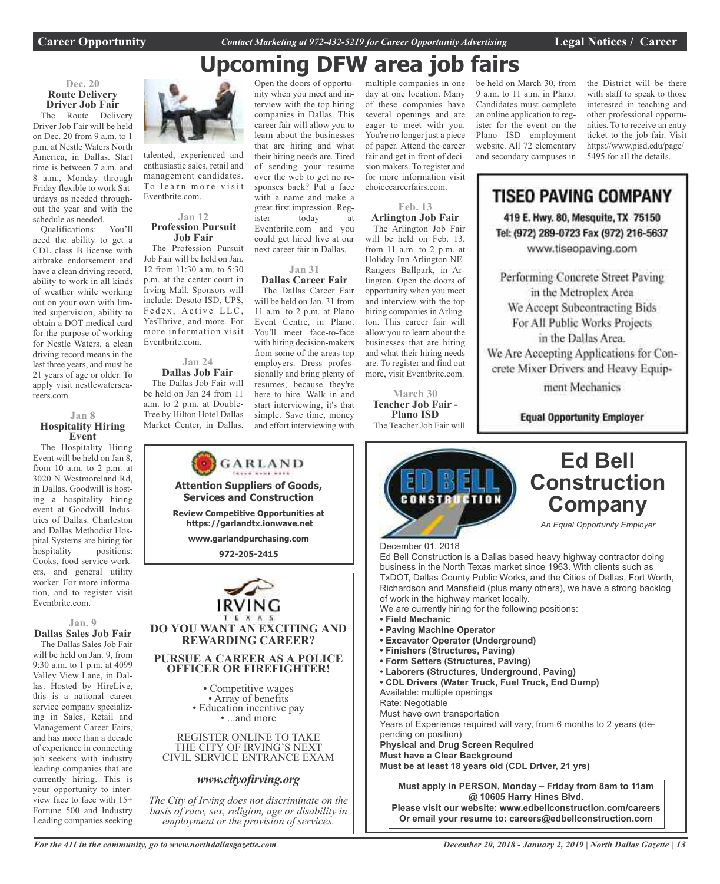**Career Opportunity** *Contact Marketing at 972-432-5219 for Career Opportunity Advertising* **Legal Notices / Career**

## **Upcoming DFW area job fairs**

### **Dec. 20 Route Delivery Driver Job Fair**

The Route Delivery Driver Job Fair will be held on Dec. 20 from 9 a.m. to 1 p.m. at Nestle Waters North America, in Dallas. Start time is between 7 a.m. and 8 a.m., Monday through Friday flexible to work Saturdays as needed throughout the year and with the schedule as needed.

Qualifications: You'll need the ability to get a CDL class B license with airbrake endorsement and have a clean driving record, ability to work in all kinds of weather while working out on your own with limited supervision, ability to obtain a DOT medical card for the purpose of working for Nestle Waters, a clean driving record means in the last three years, and must be 21 years of age or older. To apply visit nestlewaterscareers.com.

### **Jan 8 Hospitality Hiring Event**

The Hospitality Hiring Event will be held on Jan 8, from 10 a.m. to 2 p.m. at 3020 N Westmoreland Rd, in Dallas. Goodwill is hosting a hospitality hiring event at Goodwill Industries of Dallas. Charleston and Dallas Methodist Hospital Systems are hiring for hospitality positions: Cooks, food service workers, and general utility worker. For more information, and to register visit Eventbrite.com.

#### **Jan. 9**

**Dallas Sales Job Fair** The Dallas Sales Job Fair will be held on Jan. 9, from 9:30 a.m. to 1 p.m. at 4099 Valley View Lane, in Dallas. Hosted by HireLive, this is a national career service company specializing in Sales, Retail and Management Career Fairs, and has more than a decade of experience in connecting job seekers with industry leading companies that are currently hiring. This is your opportunity to interview face to face with 15+ Fortune 500 and Industry Leading companies seeking



talented, experienced and enthusiastic sales, retail and management candidates. To learn more visit Eventbrite.com.

#### **Jan 12 Profession Pursuit Job Fair**

The Profession Pursuit Job Fair will be held on Jan. 12 from 11:30 a.m. to 5:30 p.m. at the center court in Irving Mall. Sponsors will include: Desoto ISD, UPS, Fedex, Active LLC, YesThrive, and more. For more information visit Eventbrite.com.

### **Jan 24**

**Dallas Job Fair** The Dallas Job Fair will be held on Jan 24 from 11 a.m. to 2 p.m. at Double-Tree by Hilton Hotel Dallas Market Center, in Dallas.

**972-205-2415**

*www.cityofirving.org*



### **Jan 31**

**Dallas Career Fair** The Dallas Career Fair will be held on Jan. 31 from 11 a.m. to 2 p.m. at Plano Event Centre, in Plano. You'll meet face-to-face with hiring decision-makers from some of the areas top employers. Dress professionally and bring plenty of resumes, because they're here to hire. Walk in and start interviewing, it's that simple. Save time, money and effort interviewing with

multiple companies in one day at one location. Many of these companies have several openings and are eager to meet with you. You're no longer just a piece of paper. Attend the career fair and get in front of decision makers. To register and for more information visit choicecareerfairs.com.

**Feb. 13 Arlington Job Fair**

The Arlington Job Fair will be held on Feb. 13, from 11 a.m. to 2 p.m. at Holiday Inn Arlington NE-Rangers Ballpark, in Arlington. Open the doors of opportunity when you meet and interview with the top hiring companies in Arlington. This career fair will allow you to learn about the businesses that are hiring and what their hiring needs are. To register and find out more, visit Eventbrite.com.

**March 30 Teacher Job Fair - Plano ISD** The Teacher Job Fair will be held on March 30, from 9 a.m. to 11 a.m. in Plano. Candidates must complete an online application to register for the event on the Plano ISD employment website. All 72 elementary and secondary campuses in the District will be there with staff to speak to those interested in teaching and other professional opportunities. To to receive an entry ticket to the job fair. Visit https://www.pisd.edu/page/ 5495 for all the details.

### **TISEO PAVING COMPANY**

419 E. Hwy. 80, Mesquite, TX 75150 Tel: (972) 289-0723 Fax (972) 216-5637 www.tiseopaving.com

Performing Concrete Street Paving in the Metroplex Area We Accept Subcontracting Bids For All Public Works Projects in the Dallas Area. We Are Accepting Applications for Concrete Mixer Drivers and Heavy Equip-

ment Mechanics

**Equal Opportunity Employer** 

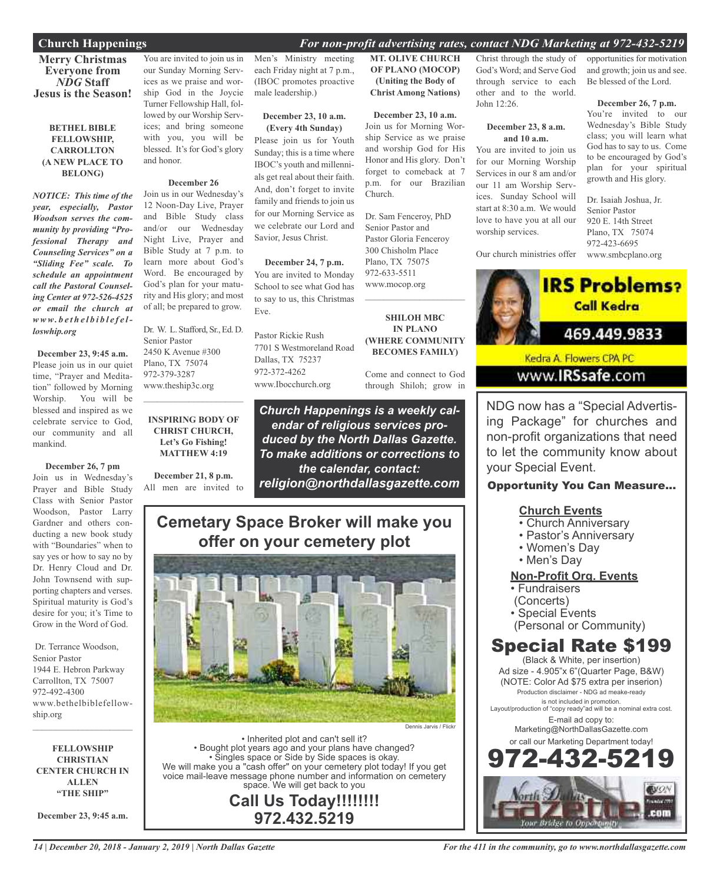### **Church Happenings** *For non-profit advertising rates, contact NDG Marketing at 972-432-5219*

**Merry Christmas Everyone from** *NDG* **Staff Jesus is the Season!**

### **BETHEL BIBLE FELLOWSHIP, CARROLLTON (A NEW PLACE TO BELONG)**

*NOTICE: This time of the year, especially, Pastor Woodson serves the community by providing "Professional Therapy and Counseling Services" on a "Sliding Fee" scale. To schedule an appointment call the Pastoral Counseling Center at 972-526-4525 or email the church at www. b e t h e l b i b l e f e lloswhip.org*

**December 23, 9:45 a.m.** Please join us in our quiet time, "Prayer and Meditation" followed by Morning Worship. You will be blessed and inspired as we celebrate service to God, our community and all mankind.

**December 26, 7 pm** Join us in Wednesday's Prayer and Bible Study Class with Senior Pastor Woodson, Pastor Larry Gardner and others conducting a new book study with "Boundaries" when to say yes or how to say no by Dr. Henry Cloud and Dr. John Townsend with supporting chapters and verses. Spiritual maturity is God's desire for you; it's Time to Grow in the Word of God.

Dr. Terrance Woodson, Senior Pastor 1944 E. Hebron Parkway Carrollton, TX 75007 972-492-4300 www.bethelbiblefellowship.org

**FELLOWSHIP CHRISTIAN CENTER CHURCH IN ALLEN "THE SHIP"**

 $\mathcal{L}_\text{max}$  , which is a set of the set of the set of the set of the set of the set of the set of the set of the set of the set of the set of the set of the set of the set of the set of the set of the set of the set of

**December 23, 9:45 a.m.**

You are invited to join us in our Sunday Morning Services as we praise and worship God in the Joycie Turner Fellowship Hall, followed by our Worship Services; and bring someone with you, you will be blessed. It's for God's glory and honor.

### **December 26**

Join us in our Wednesday's 12 Noon-Day Live, Prayer and Bible Study class and/or our Wednesday Night Live, Prayer and Bible Study at 7 p.m. to learn more about God's Word. Be encouraged by God's plan for your maturity and His glory; and most of all; be prepared to grow.

Dr. W. L. Stafford, Sr., Ed. D. Senior Pastor 2450 K Avenue #300 Plano, TX 75074 972-379-3287 www.theship3c.org

**INSPIRING BODY OF CHRIST CHURCH, Let's Go Fishing! MATTHEW 4:19**

 $\overline{\phantom{a}}$  , and the set of the set of the set of the set of the set of the set of the set of the set of the set of the set of the set of the set of the set of the set of the set of the set of the set of the set of the s

**December 21, 8 p.m.** All men are invited to Men's Ministry meeting each Friday night at 7 p.m., (IBOC promotes proactive male leadership.)

> **December 23, 10 a.m. (Every 4th Sunday)**

Please join us for Youth Sunday; this is a time where IBOC's youth and millennials get real about their faith. And, don't forget to invite family and friends to join us for our Morning Service as we celebrate our Lord and Savior, Jesus Christ.

**December 24, 7 p.m.** You are invited to Monday School to see what God has to say to us, this Christmas Eve.

Pastor Rickie Rush 7701 S Westmoreland Road Dallas, TX 75237 972-372-4262 www.Ibocchurch.org

through Shiloh; grow in *Church Happenings is a weekly calendar of religious services produced by the North Dallas Gazette. To make additions or corrections to the calendar, contact:*

*religion@northdallasgazette.com*

### **Cemetary Space Broker will make you offer on your cemetery plot**



• Inherited plot and can't sell it? • Bought plot years ago and your plans have changed? • Singles space or Side by Side spaces is okay. We will make you a "cash offer" on your cemetery plot today! If you get voice mail-leave message phone number and information on cemetery space. We will get back to you

**Call Us Today!!!!!!!! 972.432.5219**

**MT. OLIVE CHURCH OF PLANO (MOCOP) (Uniting the Body of Christ Among Nations)**

**December 23, 10 a.m.** Join us for Morning Worship Service as we praise and worship God for His Honor and His glory. Don't forget to comeback at 7 p.m. for our Brazilian Church.

Dr. Sam Fenceroy, PhD Senior Pastor and Pastor Gloria Fenceroy 300 Chisholm Place Plano, TX 75075 972-633-5511 www.mocop.org  $\mathcal{L}_\text{max}$  , which is a set of the set of the set of the set of the set of the set of the set of the set of the set of the set of the set of the set of the set of the set of the set of the set of the set of the set of

**SHILOH MBC IN PLANO (WHERE COMMUNITY BECOMES FAMILY)**

Come and connect to God

### Christ through the study of God's Word; and Serve God through service to each other and to the world. John 12:26.

### **December 23, 8 a.m. and 10 a.m.**

You are invited to join us for our Morning Worship Services in our 8 am and/or our 11 am Worship Services. Sunday School will start at 8:30 a.m. We would love to have you at all our worship services.

opportunities for motivation and growth; join us and see. Be blessed of the Lord.

### **December 26, 7 p.m.**

You're invited to our Wednesday's Bible Study class; you will learn what God has to say to us. Come to be encouraged by God's plan for your spiritual growth and His glory.

Dr. Isaiah Joshua, Jr. Senior Pastor 920 E. 14th Street Plano, TX 75074 972-423-6695 www.smbcplano.org

Our church ministries offer



Kedra A. Flowers CPA PC www.**IRSsafe.com** 

NDG now has a "Special Advertising Package" for churches and non-profit organizations that need to let the community know about your Special Event.

### Opportunity You Can Measure...

### **Church Events**

- Church Anniversary
- Pastor's Anniversary
- Women's Day
- Men's Day

### **Non-Profit Org. Events**

- Fundraisers
- (Concerts)
- Special Events
- (Personal or Community)

### Special Rate \$199

(Black & White, per insertion) Ad size - 4.905"x 6"(Quarter Page, B&W) (NOTE: Color Ad \$75 extra per inserion) Production disclaimer - NDG ad meake-ready is not included in promotion. Layout/production of "copy ready"ad will be a nominal extra cost. E-mail ad copy to: Marketing@NorthDallasGazette.com or call our Marketing Department today! 972-432-5219

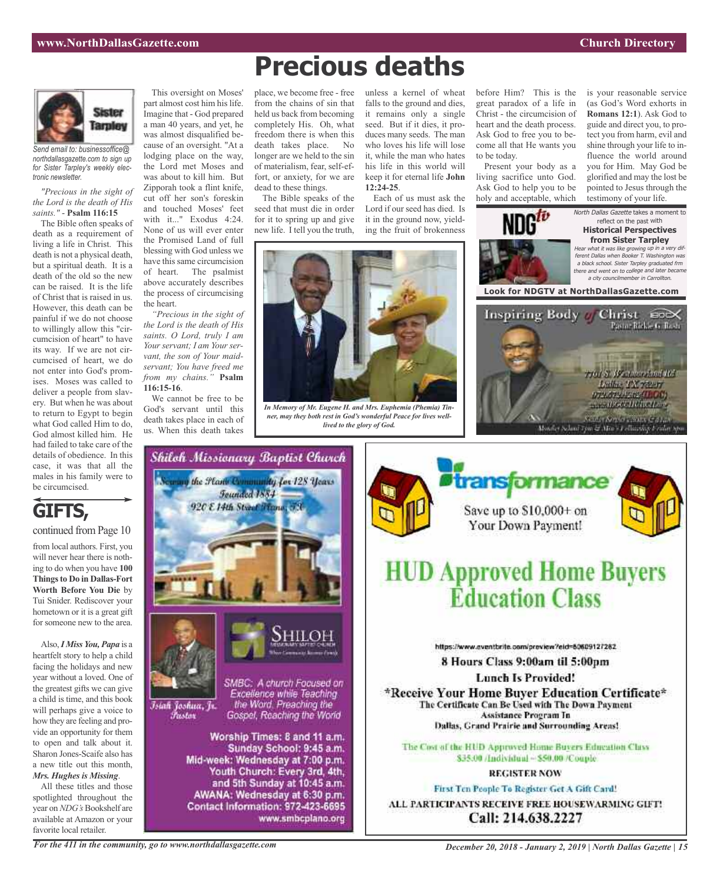

*Send email to: businessoffice@ northdallasgazette.com to sign up for Sister Tarpley's weekly electronic newsletter.*

*"Precious in the sight of the Lord is the death of His saints."* - **Psalm 116:15**

The Bible often speaks of death as a requirement of living a life in Christ. This death is not a physical death, but a spiritual death. It is a death of the old so the new can be raised. It is the life of Christ that is raised in us. However, this death can be painful if we do not choose to willingly allow this "circumcision of heart" to have its way. If we are not circumcised of heart, we do not enter into God's promises. Moses was called to deliver a people from slavery. But when he was about to return to Egypt to begin what God called Him to do, God almost killed him. He had failed to take care of the details of obedience. In this case, it was that all the males in his family were to be circumcised.



continued from Page 10

from local authors. First, you will never hear there is nothing to do when you have **100 Thingsto Do in Dallas-Fort Worth Before You Die** by Tui Snider. Rediscover your hometown or it is a great gift for someone new to the area.

Also, *I Miss You*, *Papa* is a heartfelt story to help a child facing the holidays and new year without a loved. One of the greatest gifts we can give a child is time, and this book will perhaps give a voice to how they are feeling and provide an opportunity for them to open and talk about it. Sharon Jones-Scaife also has a new title out this month, *Mrs. Hughes is Missing*.

All these titles and those spotlighted throughout the year on *NDG's* Bookshelf are available at Amazon or your favorite local retailer.

This oversight on Moses' part almost cost him his life. Imagine that - God prepared a man 40 years, and yet, he was almost disqualified because of an oversight. "At a lodging place on the way, the Lord met Moses and was about to kill him. But Zipporah took a flint knife, cut off her son's foreskin and touched Moses' feet with it..." Exodus 4:24. None of us will ever enter the Promised Land of full blessing with God unless we have this same circumcision of heart. The psalmist above accurately describes the process of circumcising

the heart. *"Precious in the sight of the Lord is the death of His saints. O Lord, truly I am Your servant; I am Your servant, the son of Your maidservant; You have freed me from my chains."* **Psalm 116:15-16**.

We cannot be free to be God's servant until this death takes place in each of us. When this death takes

## **Precious deaths**

place, we become free - free unless a kernel of wheat from the chains of sin that held us back from becoming completely His. Oh, what freedom there is when this death takes place. No longer are we held to the sin of materialism, fear, self-effort, or anxiety, for we are dead to these things.

The Bible speaks of the seed that must die in order for it to spring up and give new life. I tell you the truth,

falls to the ground and dies, it remains only a single seed. But if it dies, it produces many seeds. The man who loves his life will lose it, while the man who hates his life in this world will keep it for eternal life **John 12:24-25**.

Each of us must ask the Lord if our seed has died. Is it in the ground now, yielding the fruit of brokenness



*In Memory of Mr. Eugene H. and Mrs. Euphemia (Phemia) Tinner, may they both rest in God's wonderful Peace for lives welllived to the glory of God.*



Present your body as a living sacrifice unto God. Ask God to help you to be holy and acceptable, which



is your reasonable service (as God's Word exhorts in **Romans 12:1**). Ask God to guide and direct you, to protect you from harm, evil and shine through your life to influence the world around you for Him. May God be glorified and may the lost be pointed to Jesus through the testimony of your life.

North Dallas Gazette takes a moment to reflect on the past with **Historical Perspectives from Sister Tarpley**

Hear what it was like growing up in <sup>a</sup> very different Dallas when Booker T. Washington was <sup>a</sup> black school. Sister Tarpley graduated frm there and went on to college and later became <sup>a</sup> city councilmember in Carrollton.

**Look for NDGTV at NorthDallasGazette.com**







## **HUD Approved Home Buyers Éducation Class**

https://www.eventbrite.com/preview?eid=80609127262

8 Hours Class 9:00am til 5:00pm

**Lunch Is Provided!** 

\*Receive Your Home Buver Education Certificate\* The Certificate Can Be Used with The Down Payment Assistance Program In Dallas, Grand Prairie and Surrounding Areas!

The Cost of the HUD Approved Home Buyers Education Class \$35.00 /Individual ~ \$50.00 /Couple.

#### **REGISTER NOW**

First Ten People To Register Get A Gift Card! ALL PARTICIPANTS RECEIVE FREE HOUSEWARMING GIFT! Call: 214.638.2227

*For the 411 in the community, go to www.northdallasgazette.com*